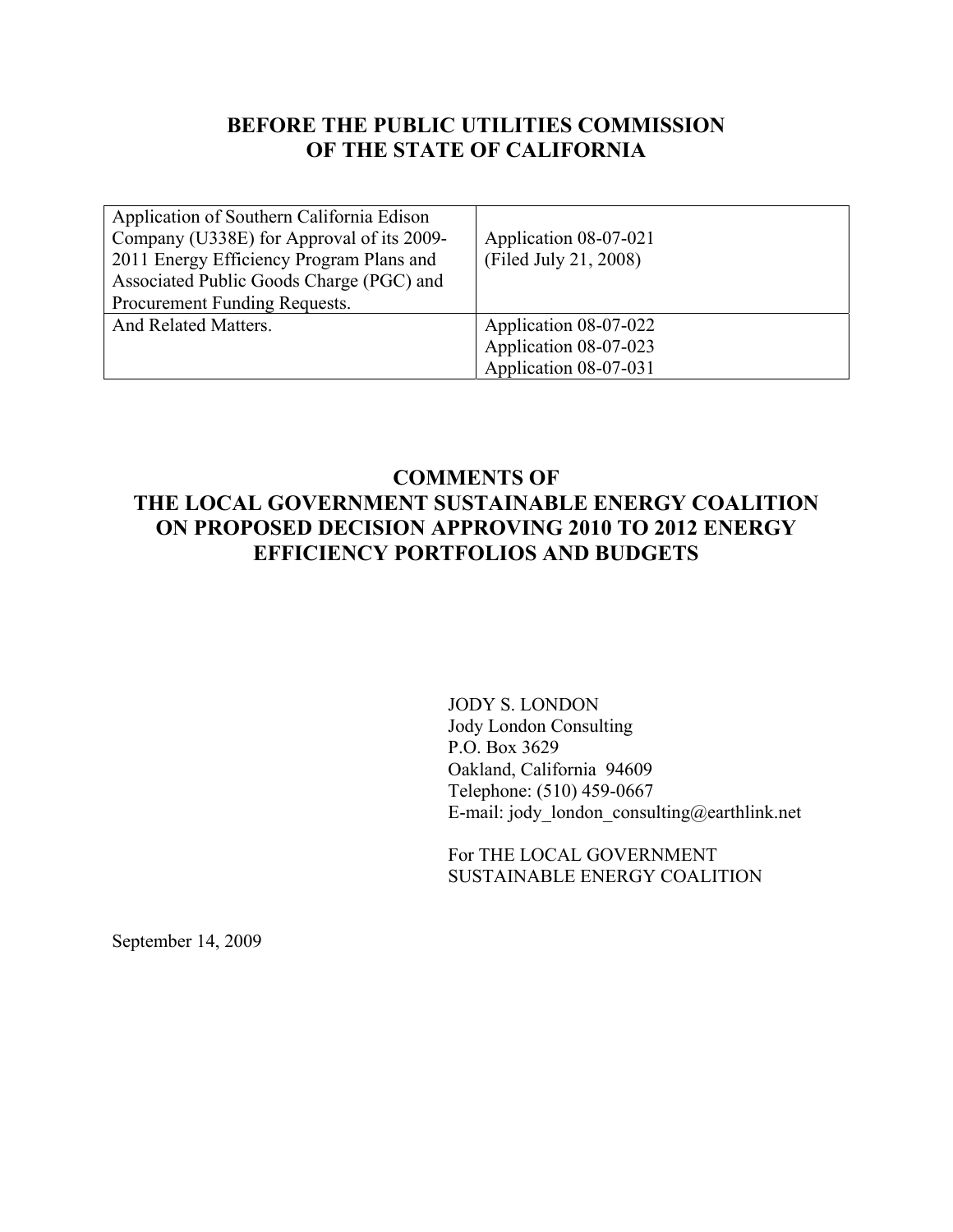### **BEFORE THE PUBLIC UTILITIES COMMISSION OF THE STATE OF CALIFORNIA**

| Application of Southern California Edison<br>Company (U338E) for Approval of its 2009-<br>2011 Energy Efficiency Program Plans and<br>Associated Public Goods Charge (PGC) and<br>Procurement Funding Requests. | Application 08-07-021<br>(Filed July 21, 2008) |
|-----------------------------------------------------------------------------------------------------------------------------------------------------------------------------------------------------------------|------------------------------------------------|
| And Related Matters.                                                                                                                                                                                            | Application 08-07-022<br>Application 08-07-023 |
|                                                                                                                                                                                                                 | Application 08-07-031                          |

### **COMMENTS OF THE LOCAL GOVERNMENT SUSTAINABLE ENERGY COALITION ON PROPOSED DECISION APPROVING 2010 TO 2012 ENERGY EFFICIENCY PORTFOLIOS AND BUDGETS**

JODY S. LONDON Jody London Consulting P.O. Box 3629 Oakland, California 94609 Telephone: (510) 459-0667 E-mail: jody\_london\_consulting@earthlink.net

For THE LOCAL GOVERNMENT SUSTAINABLE ENERGY COALITION

September 14, 2009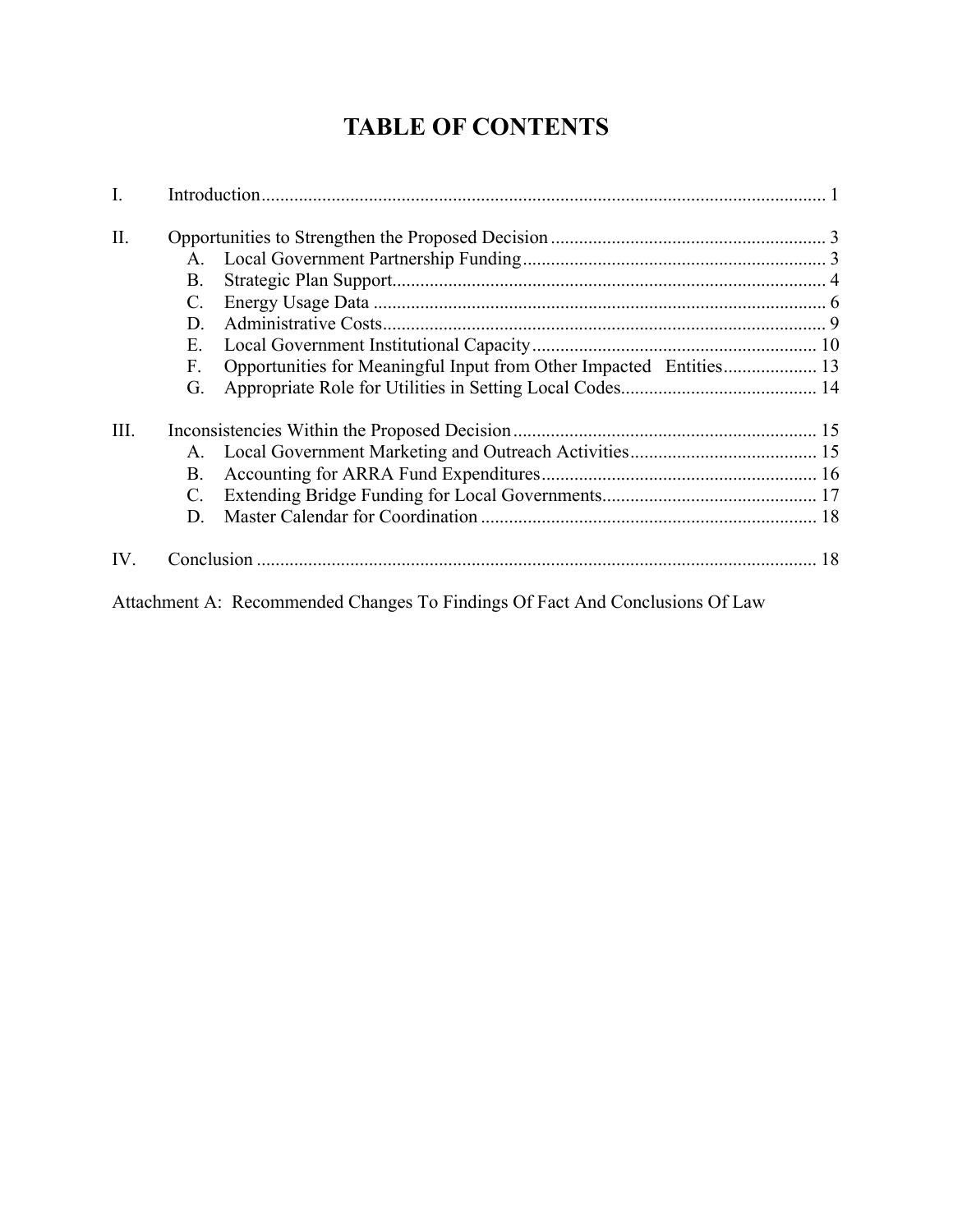# **TABLE OF CONTENTS**

| I.   |           |  |
|------|-----------|--|
| Π.   |           |  |
|      | $A_{-}$   |  |
|      | <b>B.</b> |  |
|      | C.        |  |
|      | D.        |  |
|      | Е.        |  |
|      | F.        |  |
|      | G.        |  |
| III. |           |  |
|      | A.        |  |
|      | Β.        |  |
|      | C.        |  |
|      | D.        |  |
| IV.  |           |  |

Attachment A: Recommended Changes To Findings Of Fact And Conclusions Of Law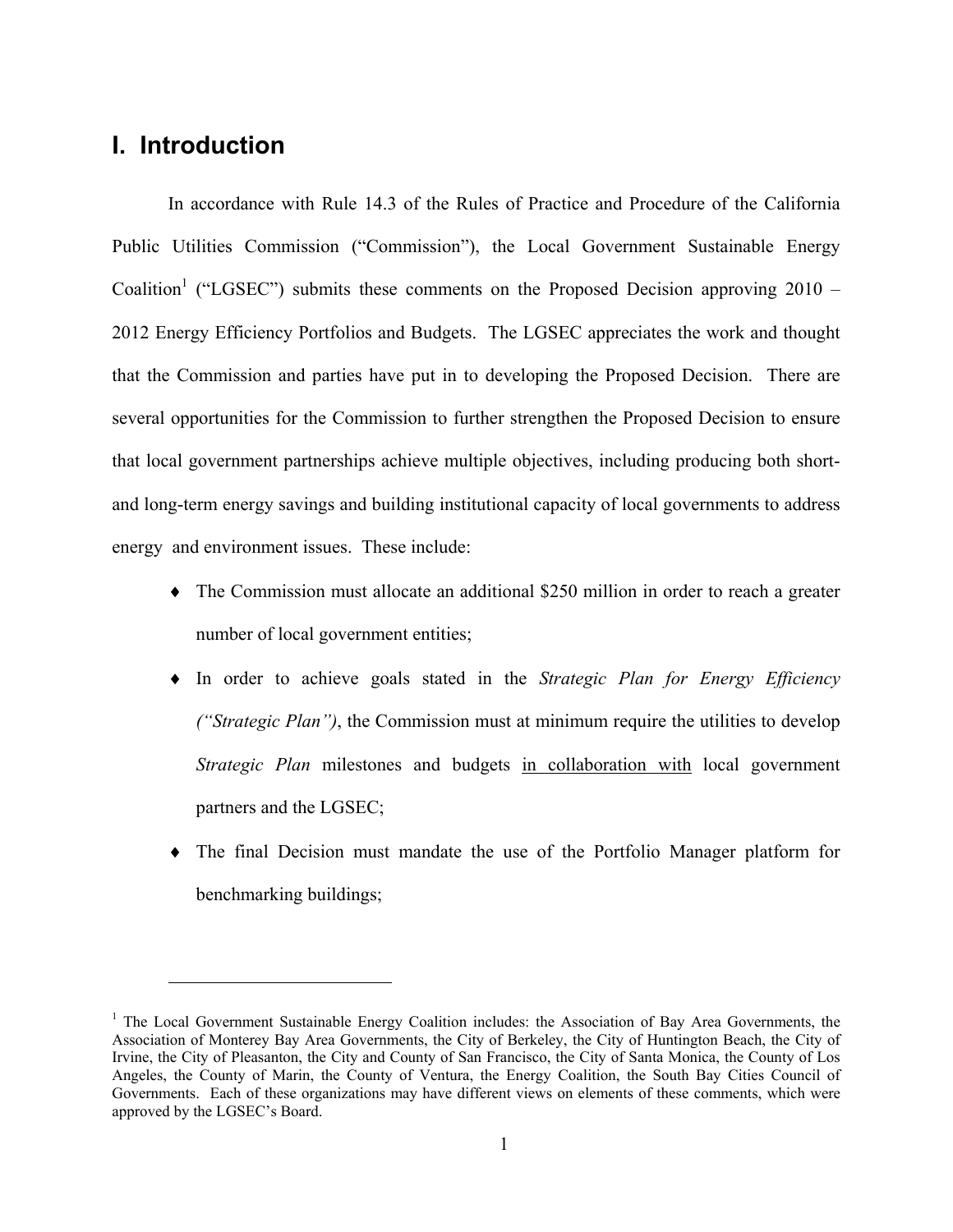## **I. Introduction**

<u>.</u>

 In accordance with Rule 14.3 of the Rules of Practice and Procedure of the California Public Utilities Commission ("Commission"), the Local Government Sustainable Energy Coalition<sup>1</sup> ("LGSEC") submits these comments on the Proposed Decision approving 2010 – 2012 Energy Efficiency Portfolios and Budgets. The LGSEC appreciates the work and thought that the Commission and parties have put in to developing the Proposed Decision. There are several opportunities for the Commission to further strengthen the Proposed Decision to ensure that local government partnerships achieve multiple objectives, including producing both shortand long-term energy savings and building institutional capacity of local governments to address energy and environment issues. These include:

- ♦ The Commission must allocate an additional \$250 million in order to reach a greater number of local government entities;
- ♦ In order to achieve goals stated in the *Strategic Plan for Energy Efficiency ("Strategic Plan")*, the Commission must at minimum require the utilities to develop *Strategic Plan* milestones and budgets in collaboration with local government partners and the LGSEC;
- ♦ The final Decision must mandate the use of the Portfolio Manager platform for benchmarking buildings;

<sup>&</sup>lt;sup>1</sup> The Local Government Sustainable Energy Coalition includes: the Association of Bay Area Governments, the Association of Monterey Bay Area Governments, the City of Berkeley, the City of Huntington Beach, the City of Irvine, the City of Pleasanton, the City and County of San Francisco, the City of Santa Monica, the County of Los Angeles, the County of Marin, the County of Ventura, the Energy Coalition, the South Bay Cities Council of Governments. Each of these organizations may have different views on elements of these comments, which were approved by the LGSEC's Board.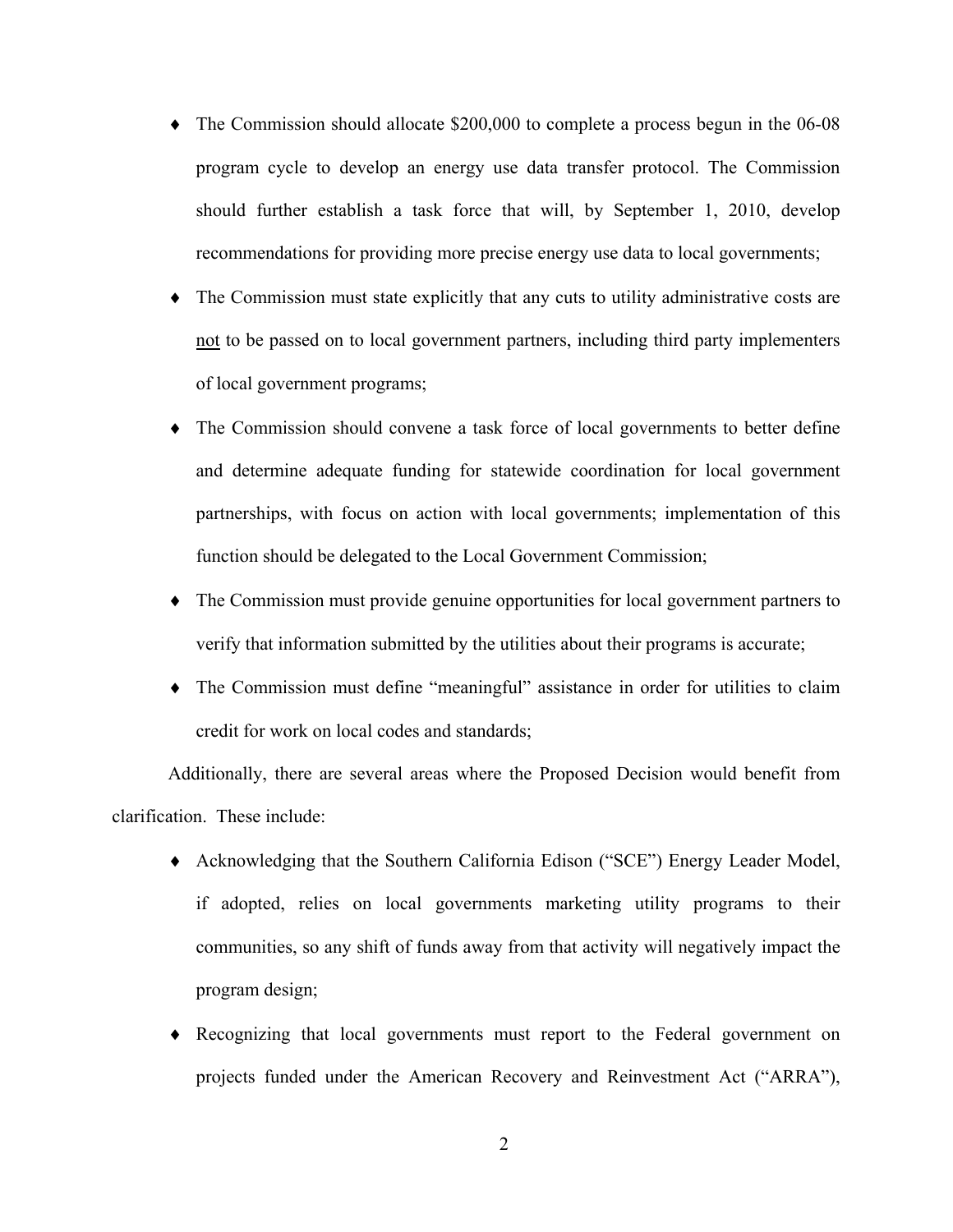- ♦ The Commission should allocate \$200,000 to complete a process begun in the 06-08 program cycle to develop an energy use data transfer protocol. The Commission should further establish a task force that will, by September 1, 2010, develop recommendations for providing more precise energy use data to local governments;
- ♦ The Commission must state explicitly that any cuts to utility administrative costs are not to be passed on to local government partners, including third party implementers of local government programs;
- ♦ The Commission should convene a task force of local governments to better define and determine adequate funding for statewide coordination for local government partnerships, with focus on action with local governments; implementation of this function should be delegated to the Local Government Commission;
- ♦ The Commission must provide genuine opportunities for local government partners to verify that information submitted by the utilities about their programs is accurate;
- ♦ The Commission must define "meaningful" assistance in order for utilities to claim credit for work on local codes and standards;

 Additionally, there are several areas where the Proposed Decision would benefit from clarification. These include:

- ♦ Acknowledging that the Southern California Edison ("SCE") Energy Leader Model, if adopted, relies on local governments marketing utility programs to their communities, so any shift of funds away from that activity will negatively impact the program design;
- ♦ Recognizing that local governments must report to the Federal government on projects funded under the American Recovery and Reinvestment Act ("ARRA"),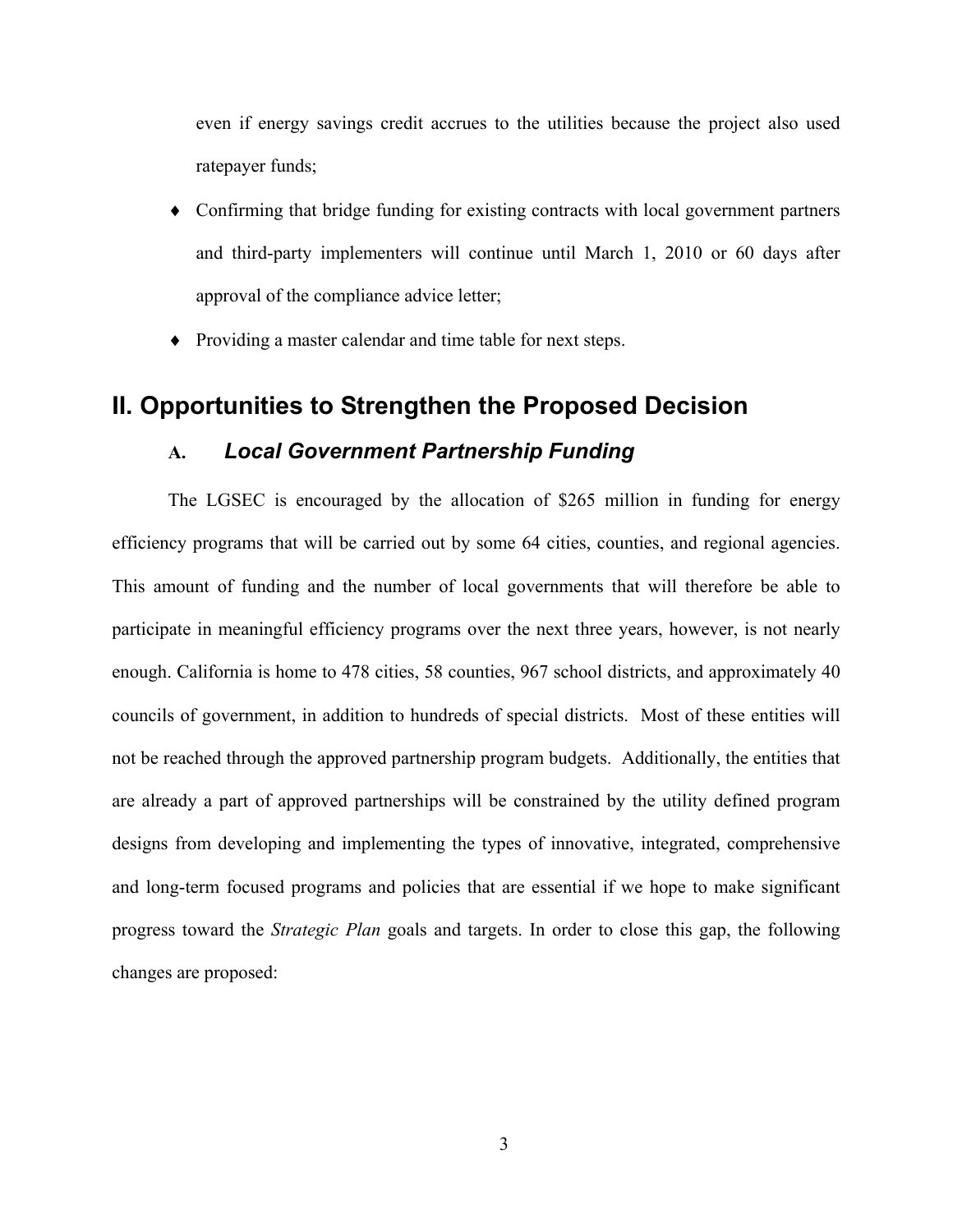even if energy savings credit accrues to the utilities because the project also used ratepayer funds;

- Confirming that bridge funding for existing contracts with local government partners and third-party implementers will continue until March 1, 2010 or 60 days after approval of the compliance advice letter;
- ♦ Providing a master calendar and time table for next steps.

## **II. Opportunities to Strengthen the Proposed Decision**

#### **A.** *Local Government Partnership Funding*

The LGSEC is encouraged by the allocation of \$265 million in funding for energy efficiency programs that will be carried out by some 64 cities, counties, and regional agencies. This amount of funding and the number of local governments that will therefore be able to participate in meaningful efficiency programs over the next three years, however, is not nearly enough. California is home to 478 cities, 58 counties, 967 school districts, and approximately 40 councils of government, in addition to hundreds of special districts. Most of these entities will not be reached through the approved partnership program budgets. Additionally, the entities that are already a part of approved partnerships will be constrained by the utility defined program designs from developing and implementing the types of innovative, integrated, comprehensive and long-term focused programs and policies that are essential if we hope to make significant progress toward the *Strategic Plan* goals and targets. In order to close this gap, the following changes are proposed: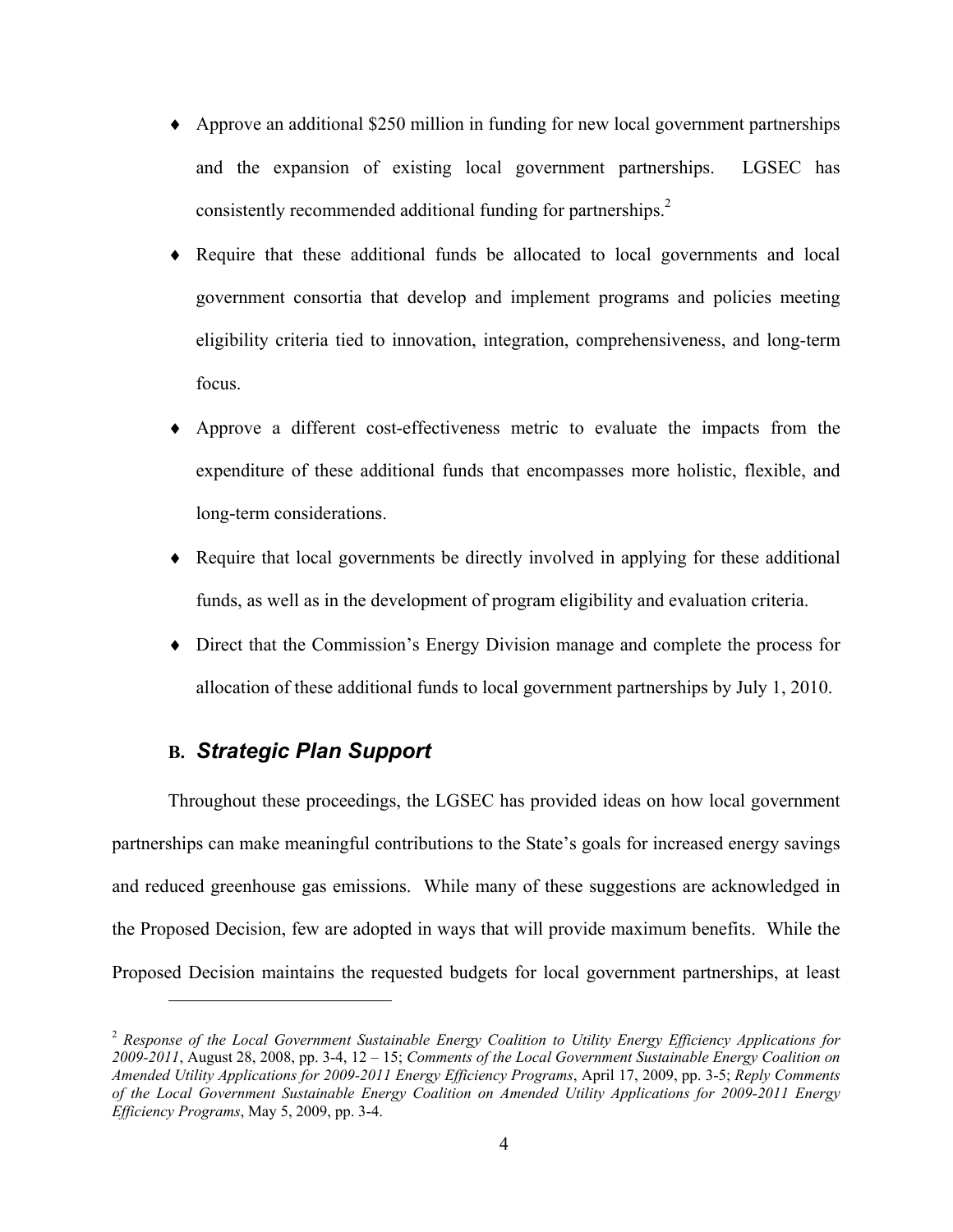- ♦ Approve an additional \$250 million in funding for new local government partnerships and the expansion of existing local government partnerships. LGSEC has consistently recommended additional funding for partnerships.<sup>2</sup>
- ♦ Require that these additional funds be allocated to local governments and local government consortia that develop and implement programs and policies meeting eligibility criteria tied to innovation, integration, comprehensiveness, and long-term focus.
- Approve a different cost-effectiveness metric to evaluate the impacts from the expenditure of these additional funds that encompasses more holistic, flexible, and long-term considerations.
- ♦ Require that local governments be directly involved in applying for these additional funds, as well as in the development of program eligibility and evaluation criteria.
- ♦ Direct that the Commission's Energy Division manage and complete the process for allocation of these additional funds to local government partnerships by July 1, 2010.

### **B.** *Strategic Plan Support*

 $\overline{a}$ 

 Throughout these proceedings, the LGSEC has provided ideas on how local government partnerships can make meaningful contributions to the State's goals for increased energy savings and reduced greenhouse gas emissions. While many of these suggestions are acknowledged in the Proposed Decision, few are adopted in ways that will provide maximum benefits. While the Proposed Decision maintains the requested budgets for local government partnerships, at least

<sup>2</sup> *Response of the Local Government Sustainable Energy Coalition to Utility Energy Efficiency Applications for 2009-2011*, August 28, 2008, pp. 3-4, 12 – 15; *Comments of the Local Government Sustainable Energy Coalition on Amended Utility Applications for 2009-2011 Energy Efficiency Programs*, April 17, 2009, pp. 3-5; *Reply Comments of the Local Government Sustainable Energy Coalition on Amended Utility Applications for 2009-2011 Energy Efficiency Programs*, May 5, 2009, pp. 3-4.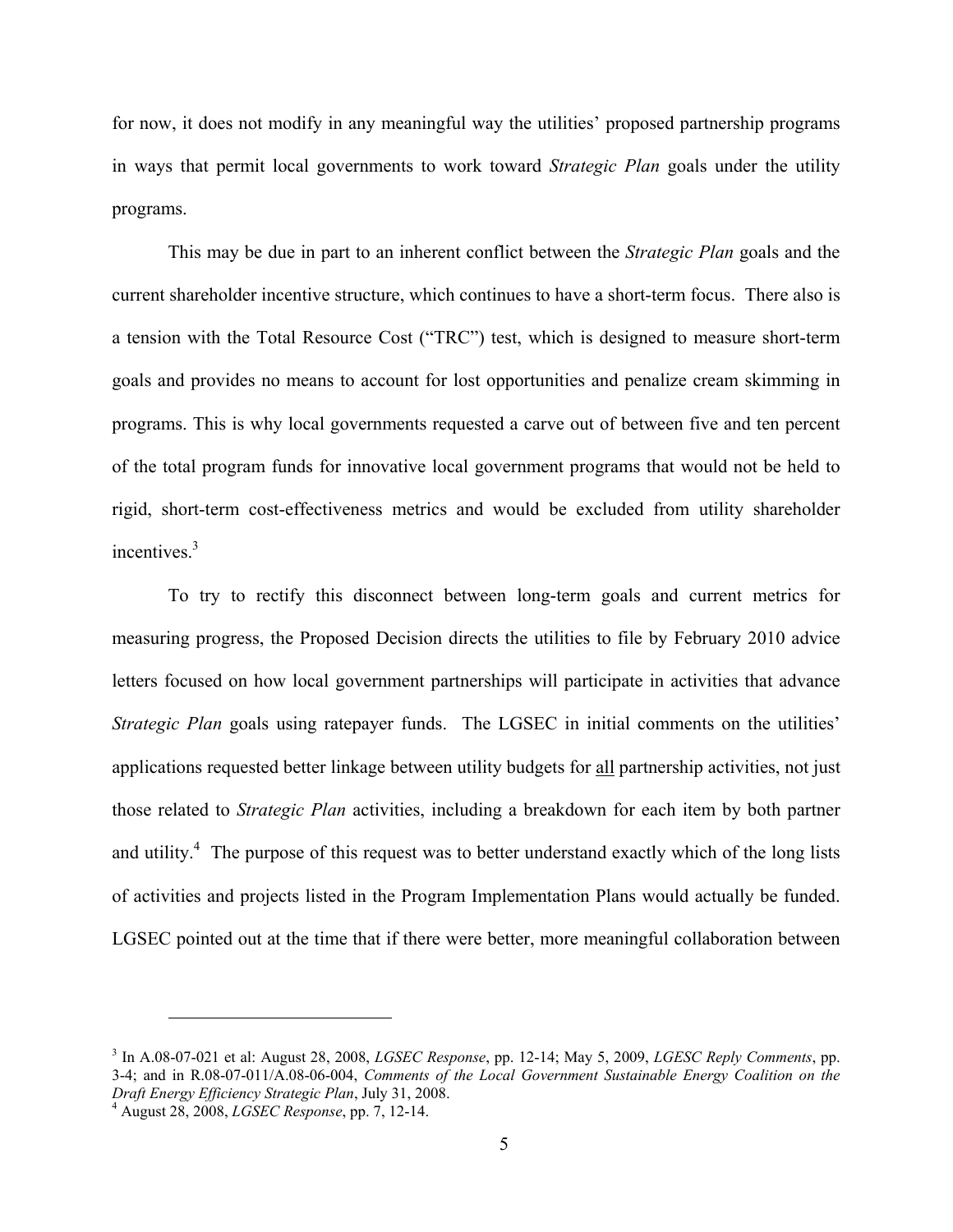for now, it does not modify in any meaningful way the utilities' proposed partnership programs in ways that permit local governments to work toward *Strategic Plan* goals under the utility programs.

 This may be due in part to an inherent conflict between the *Strategic Plan* goals and the current shareholder incentive structure, which continues to have a short-term focus. There also is a tension with the Total Resource Cost ("TRC") test, which is designed to measure short-term goals and provides no means to account for lost opportunities and penalize cream skimming in programs. This is why local governments requested a carve out of between five and ten percent of the total program funds for innovative local government programs that would not be held to rigid, short-term cost-effectiveness metrics and would be excluded from utility shareholder incentives.<sup>3</sup>

 To try to rectify this disconnect between long-term goals and current metrics for measuring progress, the Proposed Decision directs the utilities to file by February 2010 advice letters focused on how local government partnerships will participate in activities that advance *Strategic Plan* goals using ratepayer funds. The LGSEC in initial comments on the utilities' applications requested better linkage between utility budgets for all partnership activities, not just those related to *Strategic Plan* activities, including a breakdown for each item by both partner and utility.<sup>4</sup> The purpose of this request was to better understand exactly which of the long lists of activities and projects listed in the Program Implementation Plans would actually be funded. LGSEC pointed out at the time that if there were better, more meaningful collaboration between

<sup>3</sup> In A.08-07-021 et al: August 28, 2008, *LGSEC Response*, pp. 12-14; May 5, 2009, *LGESC Reply Comments*, pp. 3-4; and in R.08-07-011/A.08-06-004, *Comments of the Local Government Sustainable Energy Coalition on the Draft Energy Efficiency Strategic Plan*, July 31, 2008. 4

August 28, 2008, *LGSEC Response*, pp. 7, 12-14.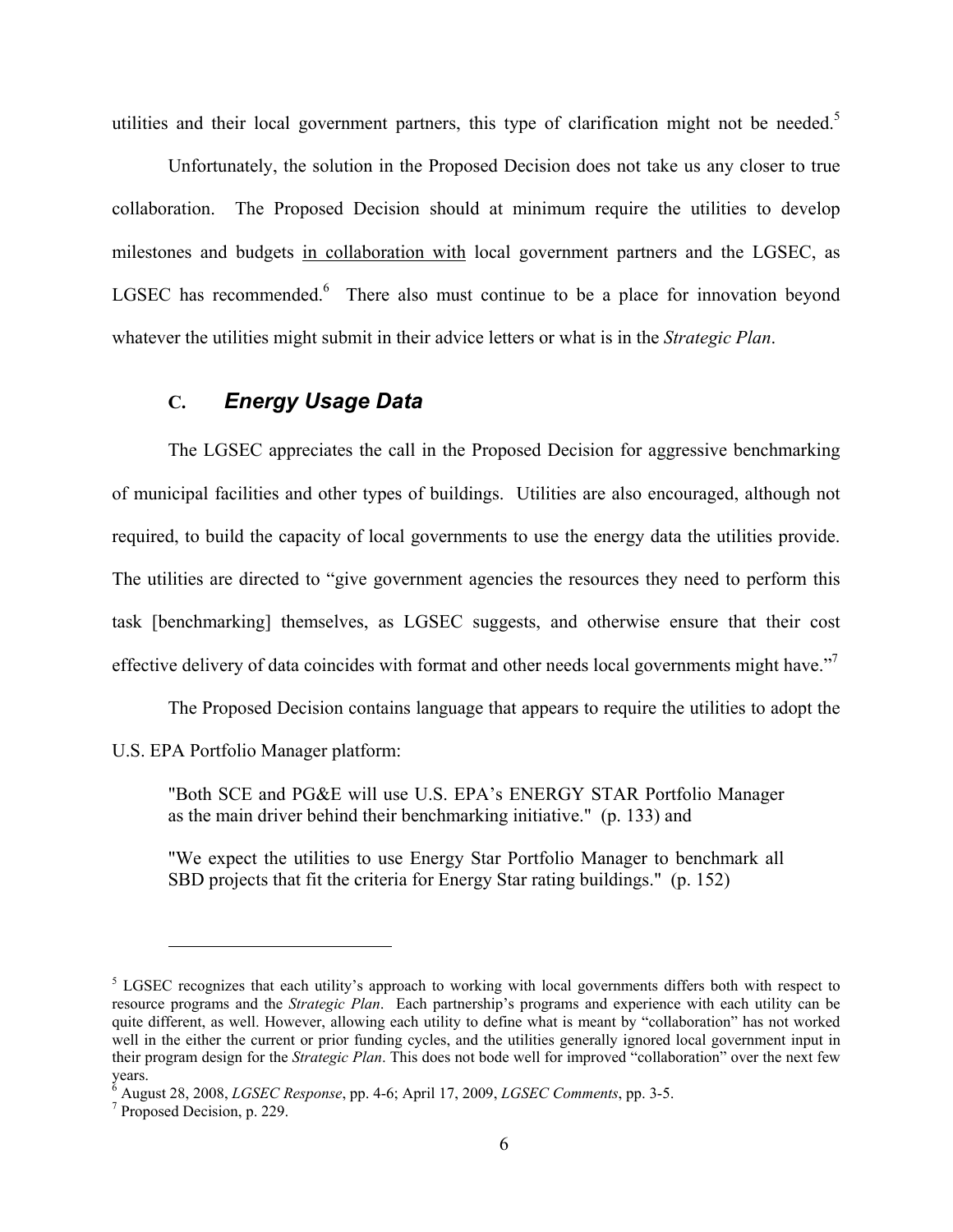utilities and their local government partners, this type of clarification might not be needed.<sup>5</sup>

 Unfortunately, the solution in the Proposed Decision does not take us any closer to true collaboration. The Proposed Decision should at minimum require the utilities to develop milestones and budgets in collaboration with local government partners and the LGSEC, as LGSEC has recommended. $6$  There also must continue to be a place for innovation beyond whatever the utilities might submit in their advice letters or what is in the *Strategic Plan*.

### **C.** *Energy Usage Data*

The LGSEC appreciates the call in the Proposed Decision for aggressive benchmarking of municipal facilities and other types of buildings. Utilities are also encouraged, although not required, to build the capacity of local governments to use the energy data the utilities provide. The utilities are directed to "give government agencies the resources they need to perform this task [benchmarking] themselves, as LGSEC suggests, and otherwise ensure that their cost effective delivery of data coincides with format and other needs local governments might have."<sup>7</sup>

The Proposed Decision contains language that appears to require the utilities to adopt the

U.S. EPA Portfolio Manager platform:

"Both SCE and PG&E will use U.S. EPA's ENERGY STAR Portfolio Manager as the main driver behind their benchmarking initiative." (p. 133) and

"We expect the utilities to use Energy Star Portfolio Manager to benchmark all SBD projects that fit the criteria for Energy Star rating buildings." (p. 152)

1

<sup>&</sup>lt;sup>5</sup> LGSEC recognizes that each utility's approach to working with local governments differs both with respect to resource programs and the *Strategic Plan*. Each partnership's programs and experience with each utility can be quite different, as well. However, allowing each utility to define what is meant by "collaboration" has not worked well in the either the current or prior funding cycles, and the utilities generally ignored local government input in their program design for the *Strategic Plan*. This does not bode well for improved "collaboration" over the next few years.

<sup>6</sup> August 28, 2008, *LGSEC Response*, pp. 4-6; April 17, 2009, *LGSEC Comments*, pp. 3-5. 7

 $<sup>7</sup>$  Proposed Decision, p. 229.</sup>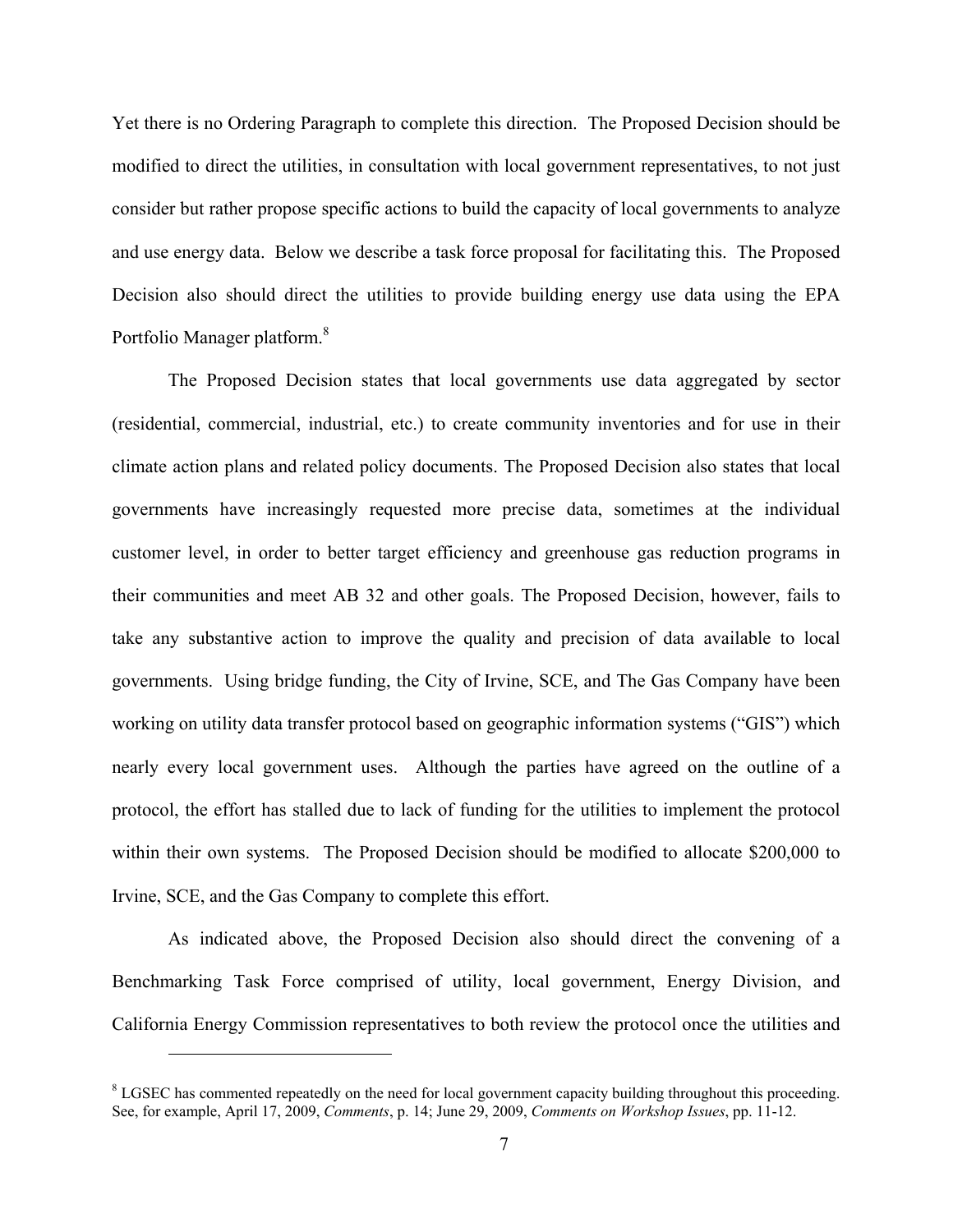Yet there is no Ordering Paragraph to complete this direction. The Proposed Decision should be modified to direct the utilities, in consultation with local government representatives, to not just consider but rather propose specific actions to build the capacity of local governments to analyze and use energy data. Below we describe a task force proposal for facilitating this. The Proposed Decision also should direct the utilities to provide building energy use data using the EPA Portfolio Manager platform.<sup>8</sup>

The Proposed Decision states that local governments use data aggregated by sector (residential, commercial, industrial, etc.) to create community inventories and for use in their climate action plans and related policy documents. The Proposed Decision also states that local governments have increasingly requested more precise data, sometimes at the individual customer level, in order to better target efficiency and greenhouse gas reduction programs in their communities and meet AB 32 and other goals. The Proposed Decision, however, fails to take any substantive action to improve the quality and precision of data available to local governments. Using bridge funding, the City of Irvine, SCE, and The Gas Company have been working on utility data transfer protocol based on geographic information systems ("GIS") which nearly every local government uses. Although the parties have agreed on the outline of a protocol, the effort has stalled due to lack of funding for the utilities to implement the protocol within their own systems. The Proposed Decision should be modified to allocate \$200,000 to Irvine, SCE, and the Gas Company to complete this effort.

As indicated above, the Proposed Decision also should direct the convening of a Benchmarking Task Force comprised of utility, local government, Energy Division, and California Energy Commission representatives to both review the protocol once the utilities and

 $8$  LGSEC has commented repeatedly on the need for local government capacity building throughout this proceeding. See, for example, April 17, 2009, *Comments*, p. 14; June 29, 2009, *Comments on Workshop Issues*, pp. 11-12.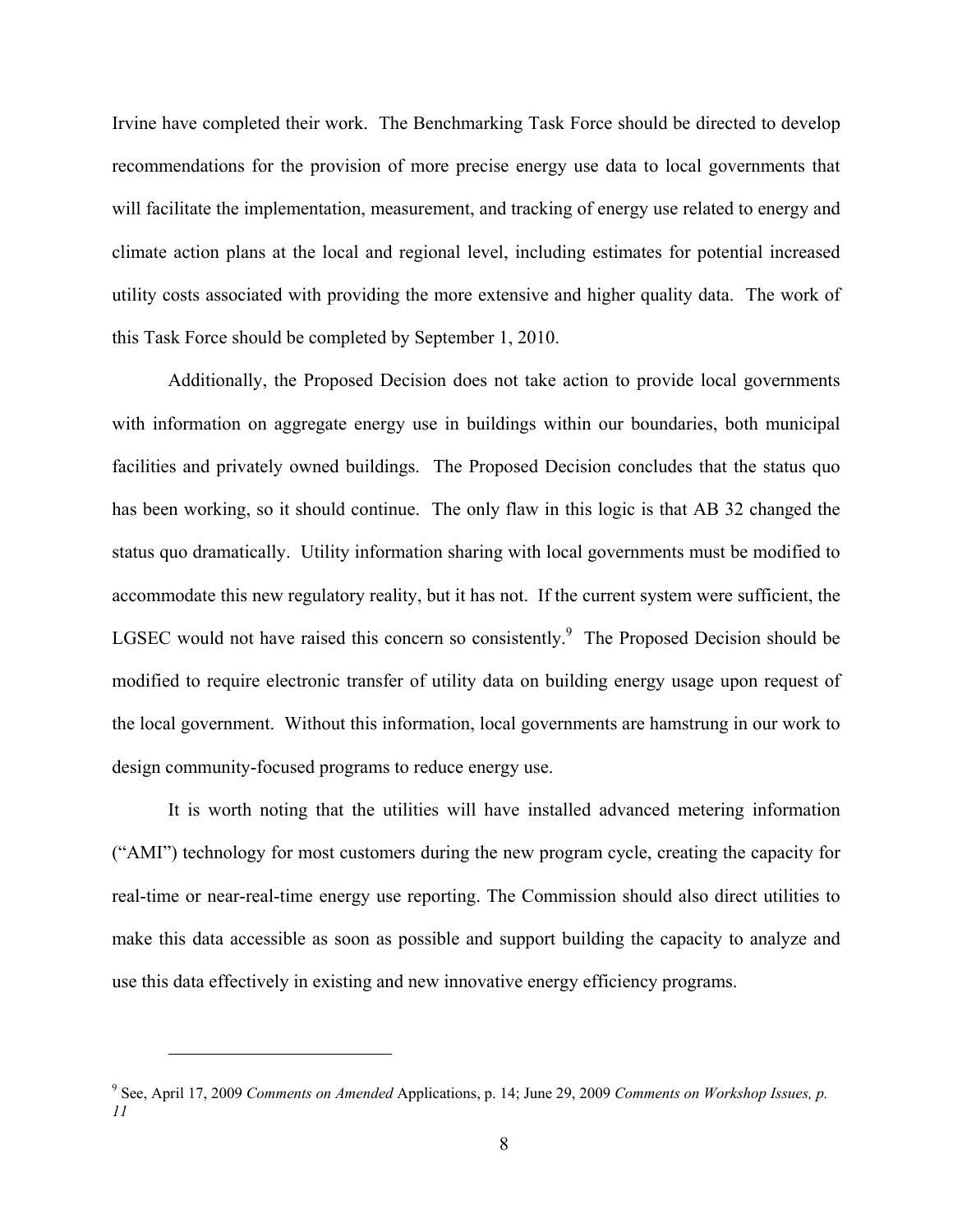Irvine have completed their work. The Benchmarking Task Force should be directed to develop recommendations for the provision of more precise energy use data to local governments that will facilitate the implementation, measurement, and tracking of energy use related to energy and climate action plans at the local and regional level, including estimates for potential increased utility costs associated with providing the more extensive and higher quality data. The work of this Task Force should be completed by September 1, 2010.

Additionally, the Proposed Decision does not take action to provide local governments with information on aggregate energy use in buildings within our boundaries, both municipal facilities and privately owned buildings. The Proposed Decision concludes that the status quo has been working, so it should continue. The only flaw in this logic is that AB 32 changed the status quo dramatically. Utility information sharing with local governments must be modified to accommodate this new regulatory reality, but it has not. If the current system were sufficient, the LGSEC would not have raised this concern so consistently. The Proposed Decision should be modified to require electronic transfer of utility data on building energy usage upon request of the local government. Without this information, local governments are hamstrung in our work to design community-focused programs to reduce energy use.

It is worth noting that the utilities will have installed advanced metering information ("AMI") technology for most customers during the new program cycle, creating the capacity for real-time or near-real-time energy use reporting. The Commission should also direct utilities to make this data accessible as soon as possible and support building the capacity to analyze and use this data effectively in existing and new innovative energy efficiency programs.

1

<sup>9</sup> See, April 17, 2009 *Comments on Amended* Applications, p. 14; June 29, 2009 *Comments on Workshop Issues, p. 11*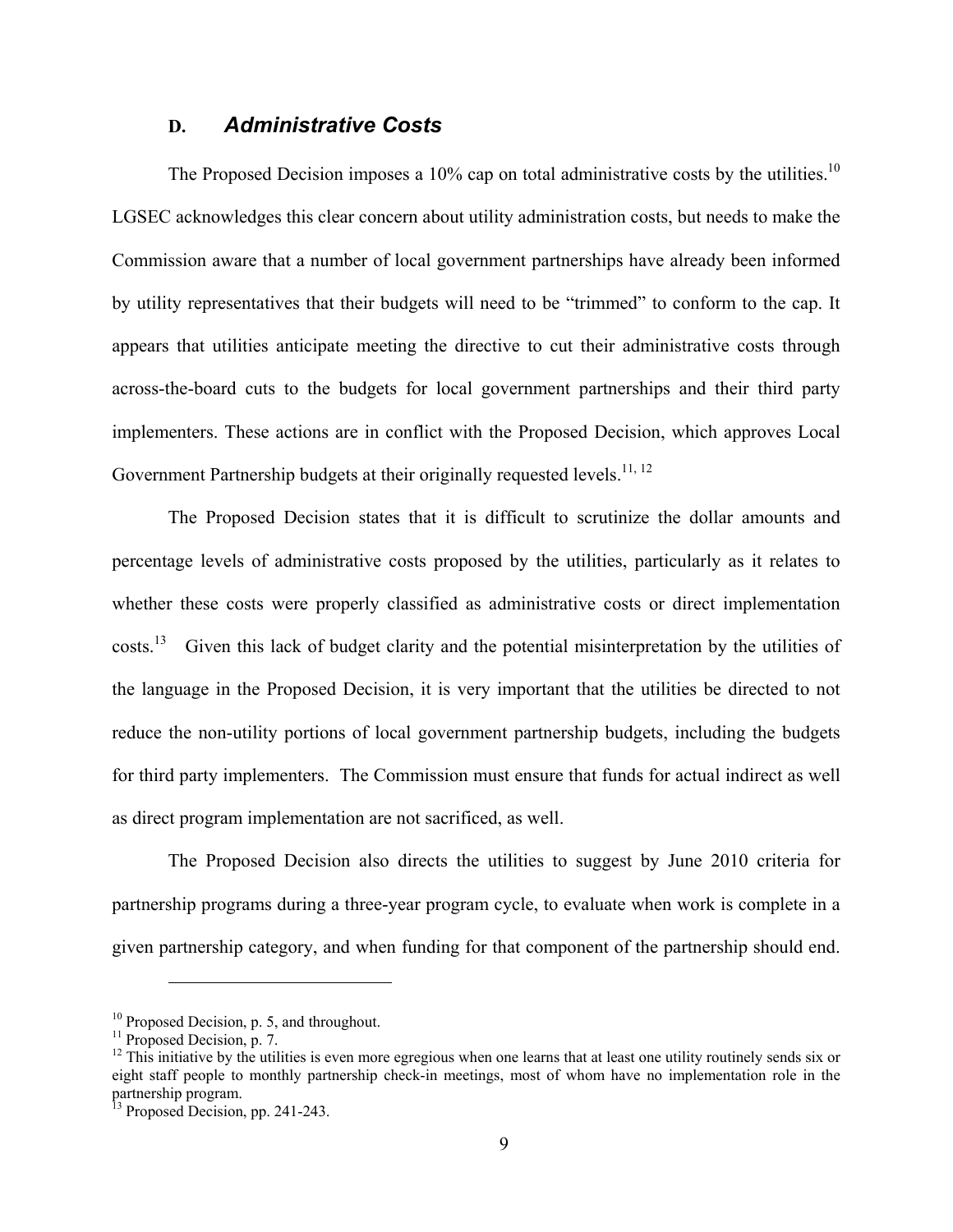#### **D.** *Administrative Costs*

The Proposed Decision imposes a 10% cap on total administrative costs by the utilities.<sup>10</sup> LGSEC acknowledges this clear concern about utility administration costs, but needs to make the Commission aware that a number of local government partnerships have already been informed by utility representatives that their budgets will need to be "trimmed" to conform to the cap. It appears that utilities anticipate meeting the directive to cut their administrative costs through across-the-board cuts to the budgets for local government partnerships and their third party implementers. These actions are in conflict with the Proposed Decision, which approves Local Government Partnership budgets at their originally requested levels.<sup>11, 12</sup>

The Proposed Decision states that it is difficult to scrutinize the dollar amounts and percentage levels of administrative costs proposed by the utilities, particularly as it relates to whether these costs were properly classified as administrative costs or direct implementation costs.<sup>13</sup> Given this lack of budget clarity and the potential misinterpretation by the utilities of the language in the Proposed Decision, it is very important that the utilities be directed to not reduce the non-utility portions of local government partnership budgets, including the budgets for third party implementers. The Commission must ensure that funds for actual indirect as well as direct program implementation are not sacrificed, as well.

 The Proposed Decision also directs the utilities to suggest by June 2010 criteria for partnership programs during a three-year program cycle, to evaluate when work is complete in a given partnership category, and when funding for that component of the partnership should end.

 $10$  Proposed Decision, p. 5, and throughout.

<sup>&</sup>lt;sup>11</sup> Proposed Decision, p. 7.

 $12$  This initiative by the utilities is even more egregious when one learns that at least one utility routinely sends six or eight staff people to monthly partnership check-in meetings, most of whom have no implementation role in the partnership program.

<sup>&</sup>lt;sup>13</sup> Proposed Decision, pp. 241-243.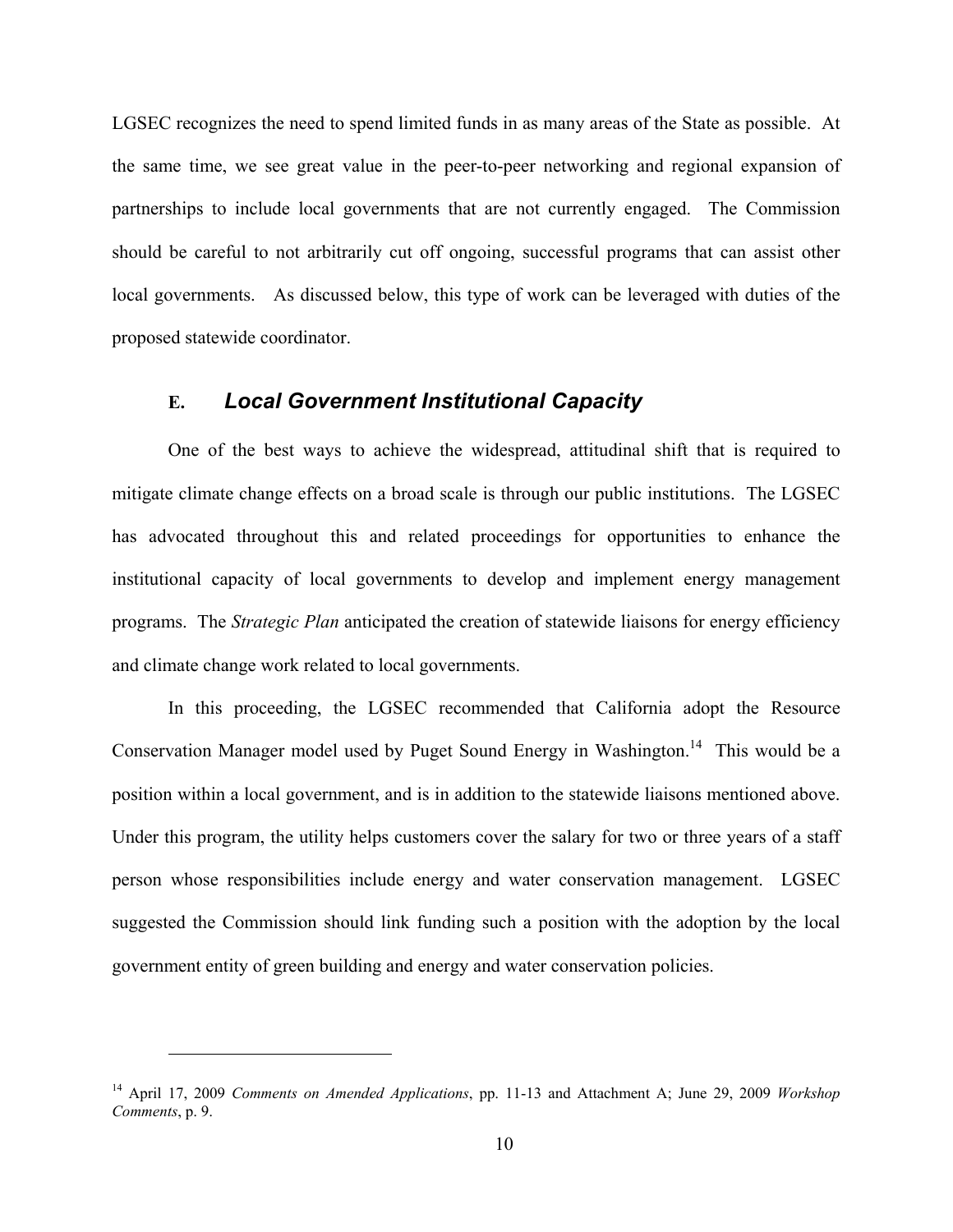LGSEC recognizes the need to spend limited funds in as many areas of the State as possible. At the same time, we see great value in the peer-to-peer networking and regional expansion of partnerships to include local governments that are not currently engaged. The Commission should be careful to not arbitrarily cut off ongoing, successful programs that can assist other local governments. As discussed below, this type of work can be leveraged with duties of the proposed statewide coordinator.

#### **E.** *Local Government Institutional Capacity*

 One of the best ways to achieve the widespread, attitudinal shift that is required to mitigate climate change effects on a broad scale is through our public institutions. The LGSEC has advocated throughout this and related proceedings for opportunities to enhance the institutional capacity of local governments to develop and implement energy management programs. The *Strategic Plan* anticipated the creation of statewide liaisons for energy efficiency and climate change work related to local governments.

 In this proceeding, the LGSEC recommended that California adopt the Resource Conservation Manager model used by Puget Sound Energy in Washington.<sup>14</sup> This would be a position within a local government, and is in addition to the statewide liaisons mentioned above. Under this program, the utility helps customers cover the salary for two or three years of a staff person whose responsibilities include energy and water conservation management. LGSEC suggested the Commission should link funding such a position with the adoption by the local government entity of green building and energy and water conservation policies.

<sup>14</sup> April 17, 2009 *Comments on Amended Applications*, pp. 11-13 and Attachment A; June 29, 2009 *Workshop Comments*, p. 9.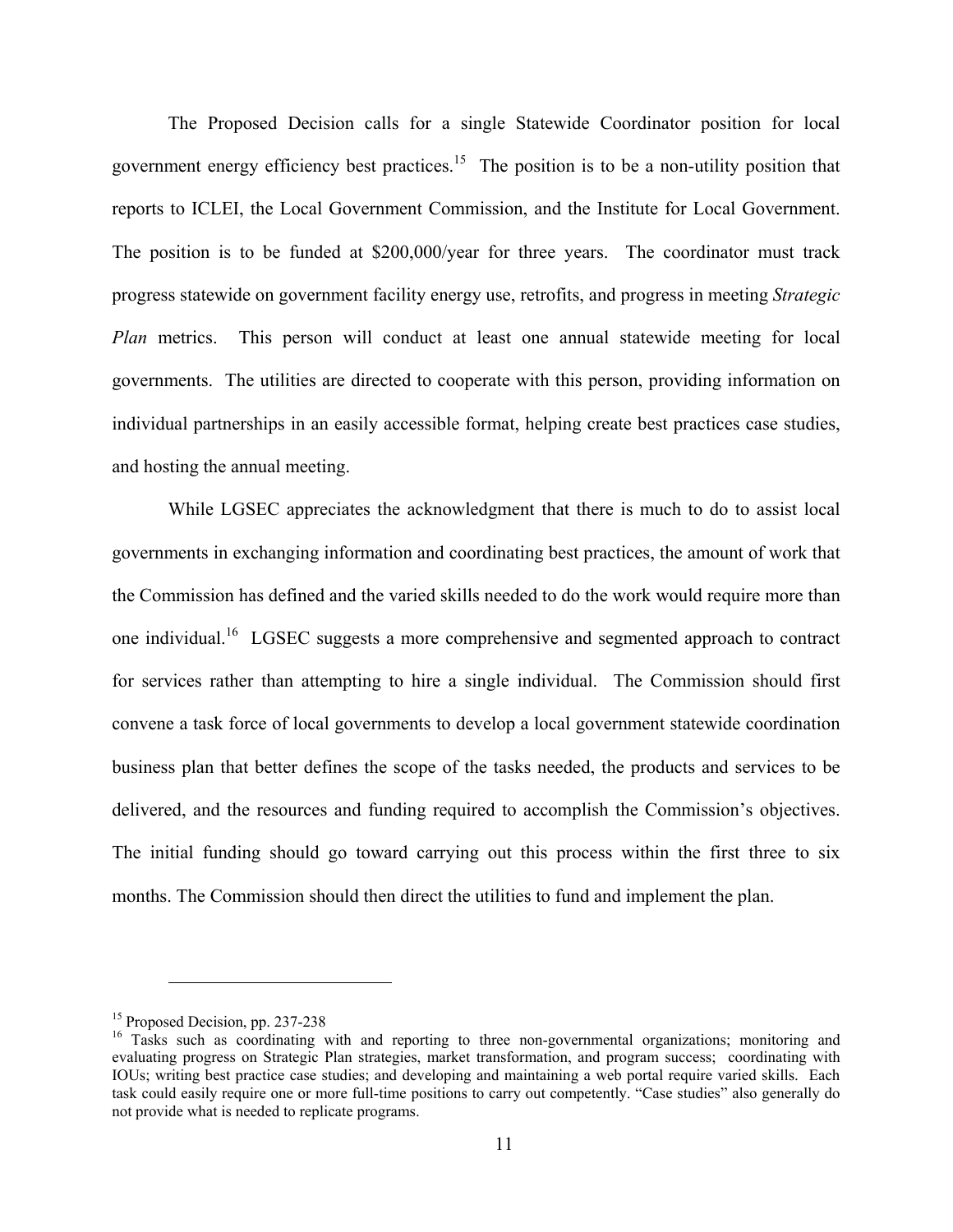The Proposed Decision calls for a single Statewide Coordinator position for local government energy efficiency best practices.<sup>15</sup> The position is to be a non-utility position that reports to ICLEI, the Local Government Commission, and the Institute for Local Government. The position is to be funded at \$200,000/year for three years. The coordinator must track progress statewide on government facility energy use, retrofits, and progress in meeting *Strategic Plan* metrics. This person will conduct at least one annual statewide meeting for local governments. The utilities are directed to cooperate with this person, providing information on individual partnerships in an easily accessible format, helping create best practices case studies, and hosting the annual meeting.

 While LGSEC appreciates the acknowledgment that there is much to do to assist local governments in exchanging information and coordinating best practices, the amount of work that the Commission has defined and the varied skills needed to do the work would require more than one individual.16 LGSEC suggests a more comprehensive and segmented approach to contract for services rather than attempting to hire a single individual. The Commission should first convene a task force of local governments to develop a local government statewide coordination business plan that better defines the scope of the tasks needed, the products and services to be delivered, and the resources and funding required to accomplish the Commission's objectives. The initial funding should go toward carrying out this process within the first three to six months. The Commission should then direct the utilities to fund and implement the plan.

<sup>&</sup>lt;sup>15</sup> Proposed Decision, pp. 237-238

<sup>&</sup>lt;sup>16</sup> Tasks such as coordinating with and reporting to three non-governmental organizations; monitoring and evaluating progress on Strategic Plan strategies, market transformation, and program success; coordinating with IOUs; writing best practice case studies; and developing and maintaining a web portal require varied skills. Each task could easily require one or more full-time positions to carry out competently. "Case studies" also generally do not provide what is needed to replicate programs.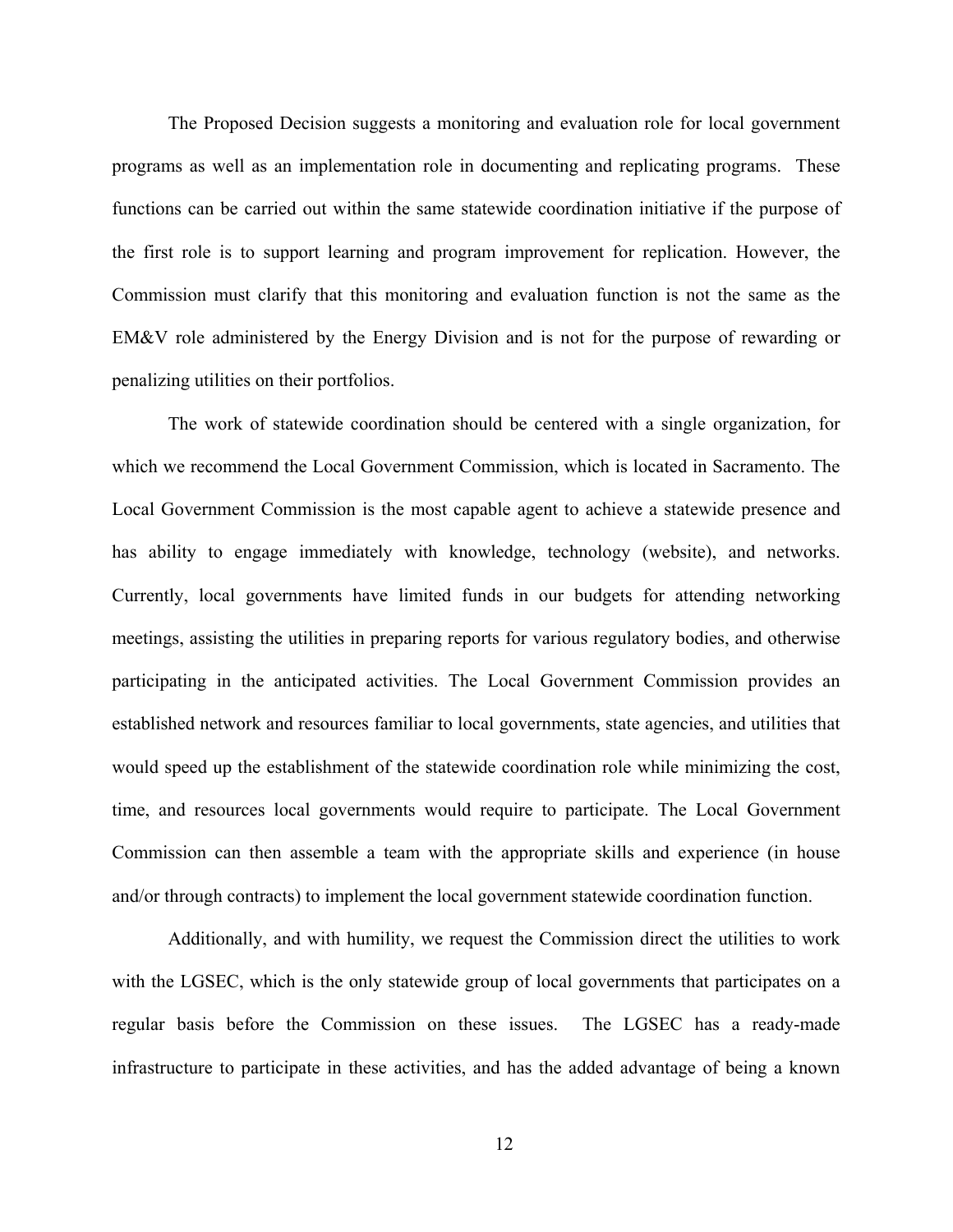The Proposed Decision suggests a monitoring and evaluation role for local government programs as well as an implementation role in documenting and replicating programs. These functions can be carried out within the same statewide coordination initiative if the purpose of the first role is to support learning and program improvement for replication. However, the Commission must clarify that this monitoring and evaluation function is not the same as the EM&V role administered by the Energy Division and is not for the purpose of rewarding or penalizing utilities on their portfolios.

 The work of statewide coordination should be centered with a single organization, for which we recommend the Local Government Commission, which is located in Sacramento. The Local Government Commission is the most capable agent to achieve a statewide presence and has ability to engage immediately with knowledge, technology (website), and networks. Currently, local governments have limited funds in our budgets for attending networking meetings, assisting the utilities in preparing reports for various regulatory bodies, and otherwise participating in the anticipated activities. The Local Government Commission provides an established network and resources familiar to local governments, state agencies, and utilities that would speed up the establishment of the statewide coordination role while minimizing the cost, time, and resources local governments would require to participate. The Local Government Commission can then assemble a team with the appropriate skills and experience (in house and/or through contracts) to implement the local government statewide coordination function.

 Additionally, and with humility, we request the Commission direct the utilities to work with the LGSEC, which is the only statewide group of local governments that participates on a regular basis before the Commission on these issues. The LGSEC has a ready-made infrastructure to participate in these activities, and has the added advantage of being a known

12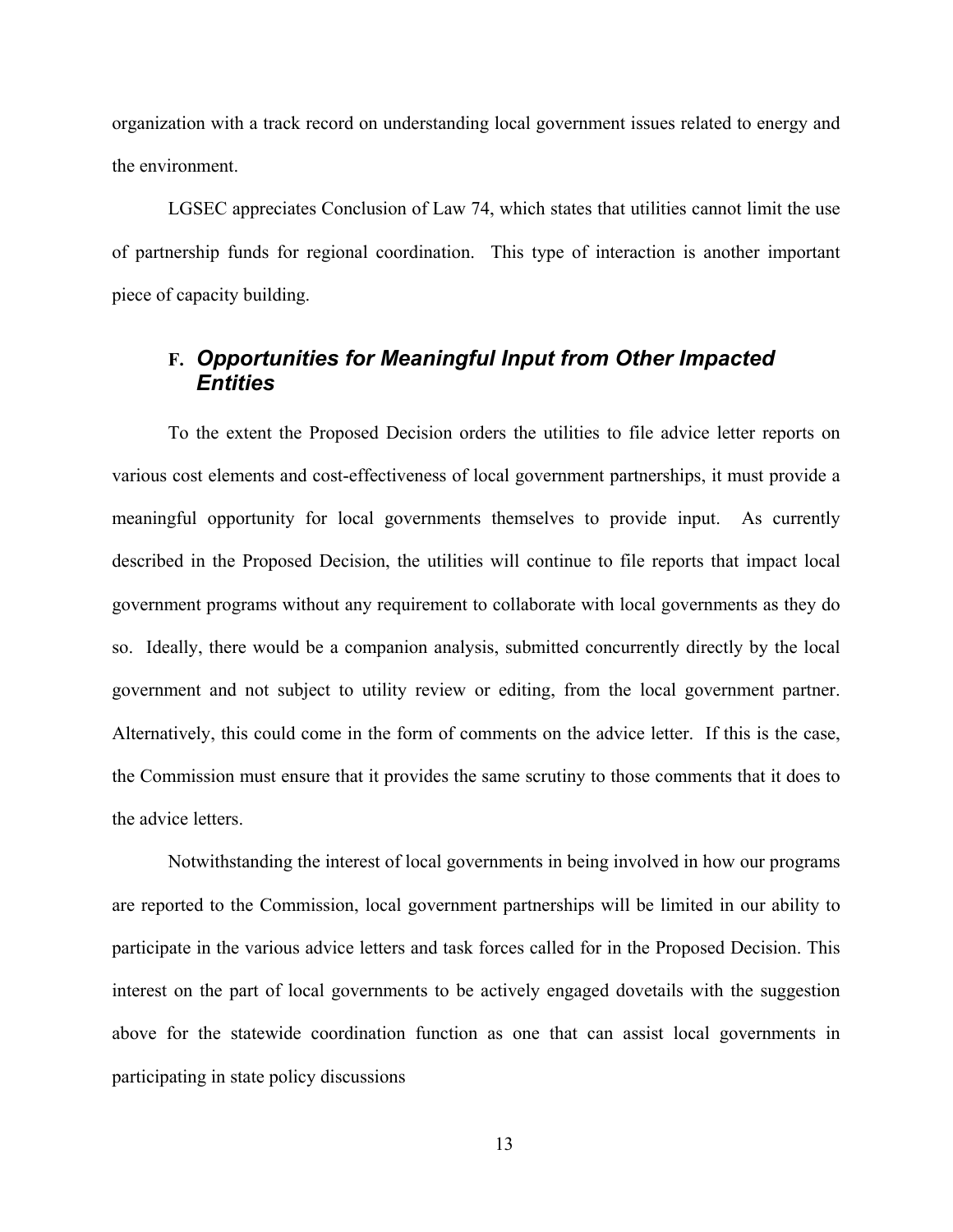organization with a track record on understanding local government issues related to energy and the environment.

 LGSEC appreciates Conclusion of Law 74, which states that utilities cannot limit the use of partnership funds for regional coordination. This type of interaction is another important piece of capacity building.

### **F.** *Opportunities for Meaningful Input from Other Impacted Entities*

 To the extent the Proposed Decision orders the utilities to file advice letter reports on various cost elements and cost-effectiveness of local government partnerships, it must provide a meaningful opportunity for local governments themselves to provide input. As currently described in the Proposed Decision, the utilities will continue to file reports that impact local government programs without any requirement to collaborate with local governments as they do so. Ideally, there would be a companion analysis, submitted concurrently directly by the local government and not subject to utility review or editing, from the local government partner. Alternatively, this could come in the form of comments on the advice letter. If this is the case, the Commission must ensure that it provides the same scrutiny to those comments that it does to the advice letters.

 Notwithstanding the interest of local governments in being involved in how our programs are reported to the Commission, local government partnerships will be limited in our ability to participate in the various advice letters and task forces called for in the Proposed Decision. This interest on the part of local governments to be actively engaged dovetails with the suggestion above for the statewide coordination function as one that can assist local governments in participating in state policy discussions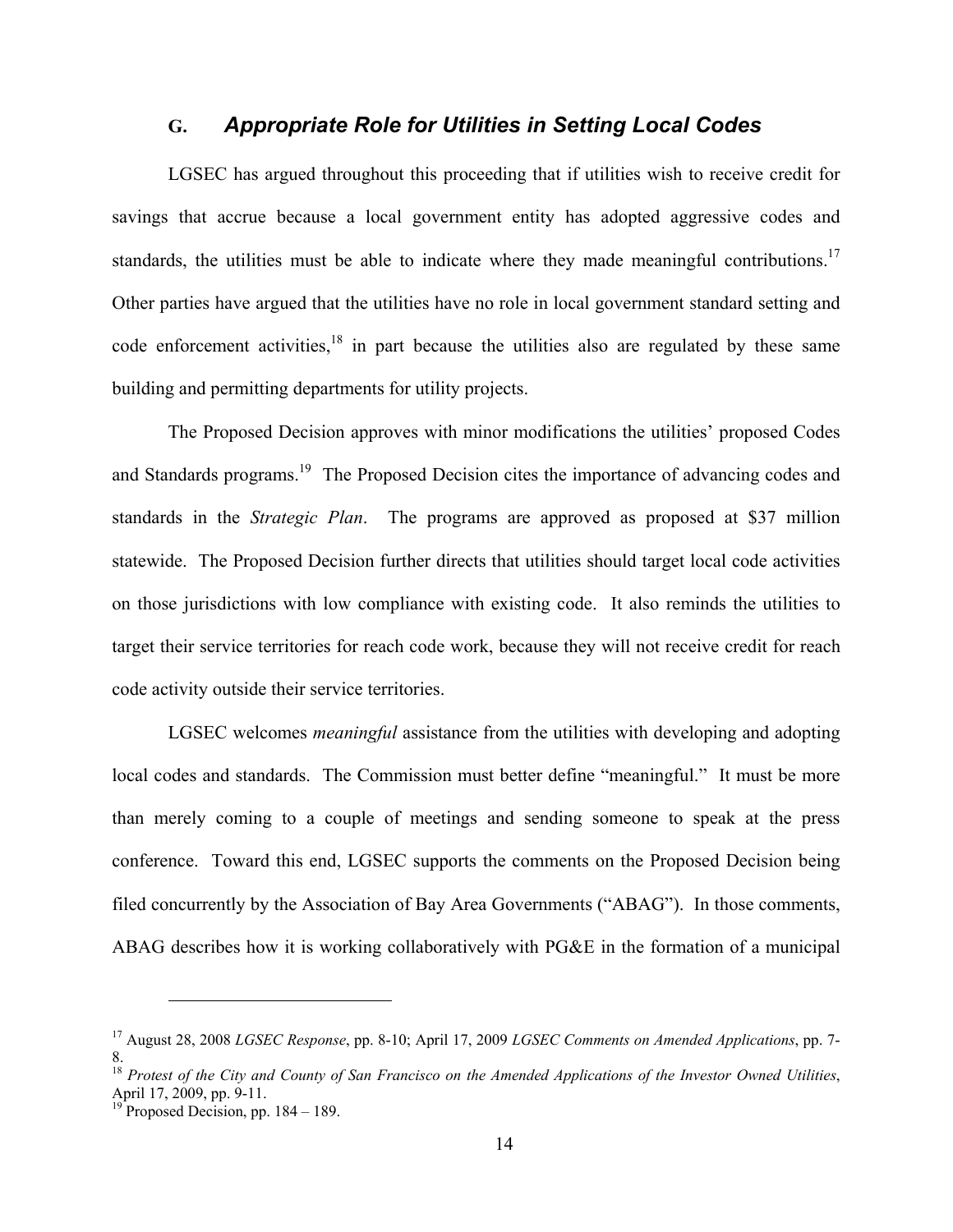#### **G.** *Appropriate Role for Utilities in Setting Local Codes*

 LGSEC has argued throughout this proceeding that if utilities wish to receive credit for savings that accrue because a local government entity has adopted aggressive codes and standards, the utilities must be able to indicate where they made meaningful contributions.<sup>17</sup> Other parties have argued that the utilities have no role in local government standard setting and code enforcement activities,  $18$  in part because the utilities also are regulated by these same building and permitting departments for utility projects.

The Proposed Decision approves with minor modifications the utilities' proposed Codes and Standards programs.<sup>19</sup> The Proposed Decision cites the importance of advancing codes and standards in the *Strategic Plan*. The programs are approved as proposed at \$37 million statewide. The Proposed Decision further directs that utilities should target local code activities on those jurisdictions with low compliance with existing code. It also reminds the utilities to target their service territories for reach code work, because they will not receive credit for reach code activity outside their service territories.

LGSEC welcomes *meaningful* assistance from the utilities with developing and adopting local codes and standards. The Commission must better define "meaningful." It must be more than merely coming to a couple of meetings and sending someone to speak at the press conference. Toward this end, LGSEC supports the comments on the Proposed Decision being filed concurrently by the Association of Bay Area Governments ("ABAG"). In those comments, ABAG describes how it is working collaboratively with PG&E in the formation of a municipal

<sup>17</sup> August 28, 2008 *LGSEC Response*, pp. 8-10; April 17, 2009 *LGSEC Comments on Amended Applications*, pp. 7- 8.

<sup>18</sup> *Protest of the City and County of San Francisco on the Amended Applications of the Investor Owned Utilities*, April 17, 2009, pp. 9-11.

<sup>&</sup>lt;sup>19</sup> Proposed Decision, pp.  $184 - 189$ .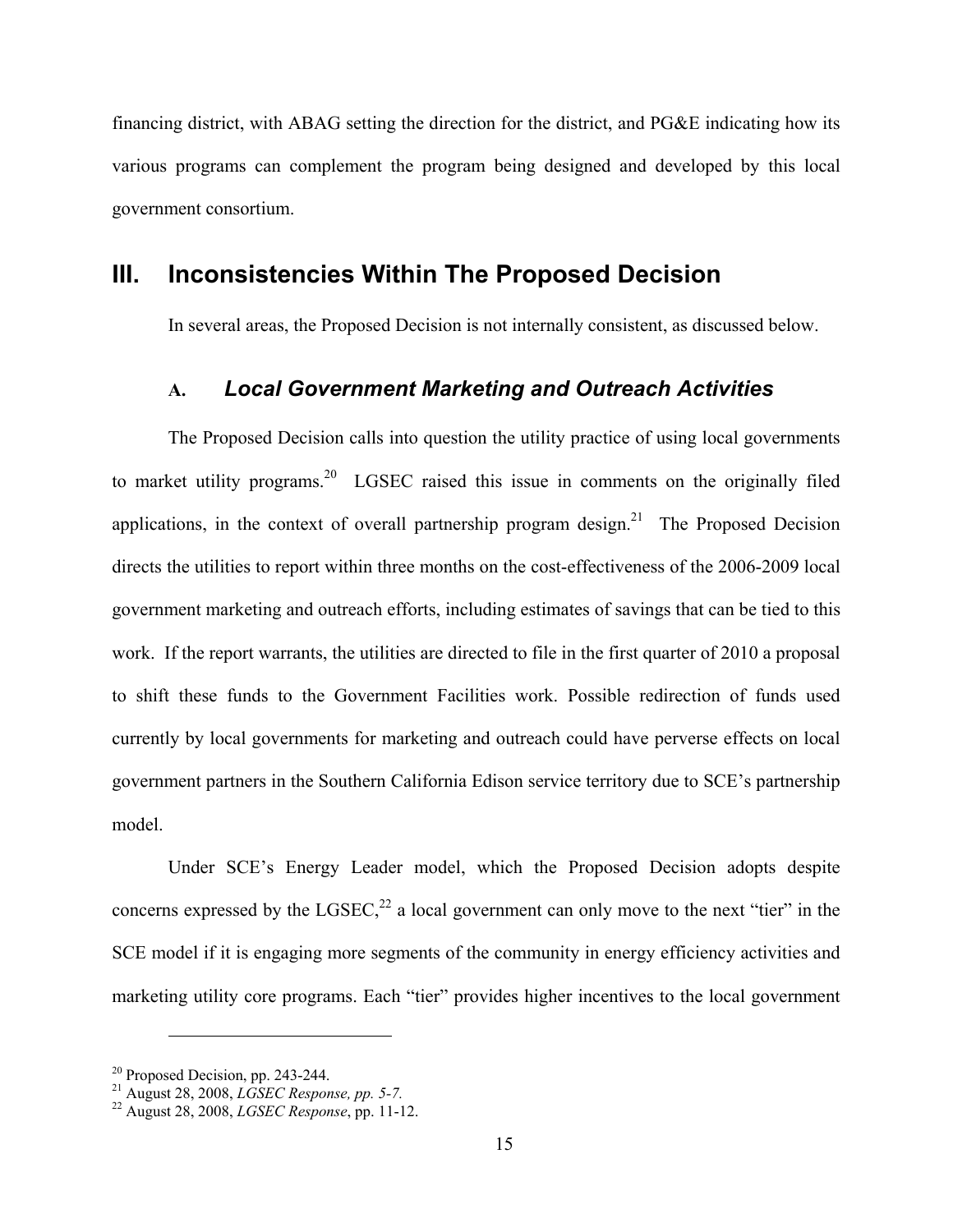financing district, with ABAG setting the direction for the district, and PG&E indicating how its various programs can complement the program being designed and developed by this local government consortium.

### **III. Inconsistencies Within The Proposed Decision**

In several areas, the Proposed Decision is not internally consistent, as discussed below.

### **A.** *Local Government Marketing and Outreach Activities*

 The Proposed Decision calls into question the utility practice of using local governments to market utility programs.<sup>20</sup> LGSEC raised this issue in comments on the originally filed applications, in the context of overall partnership program design.<sup>21</sup> The Proposed Decision directs the utilities to report within three months on the cost-effectiveness of the 2006-2009 local government marketing and outreach efforts, including estimates of savings that can be tied to this work. If the report warrants, the utilities are directed to file in the first quarter of 2010 a proposal to shift these funds to the Government Facilities work. Possible redirection of funds used currently by local governments for marketing and outreach could have perverse effects on local government partners in the Southern California Edison service territory due to SCE's partnership model.

 Under SCE's Energy Leader model, which the Proposed Decision adopts despite concerns expressed by the  $LGSEC<sub>1</sub><sup>22</sup>$  a local government can only move to the next "tier" in the SCE model if it is engaging more segments of the community in energy efficiency activities and marketing utility core programs. Each "tier" provides higher incentives to the local government

<sup>20</sup> Proposed Decision, pp. 243-244.

<sup>21</sup> August 28, 2008, *LGSEC Response, pp. 5-7.* 22 August 28, 2008, *LGSEC Response*, pp. 11-12.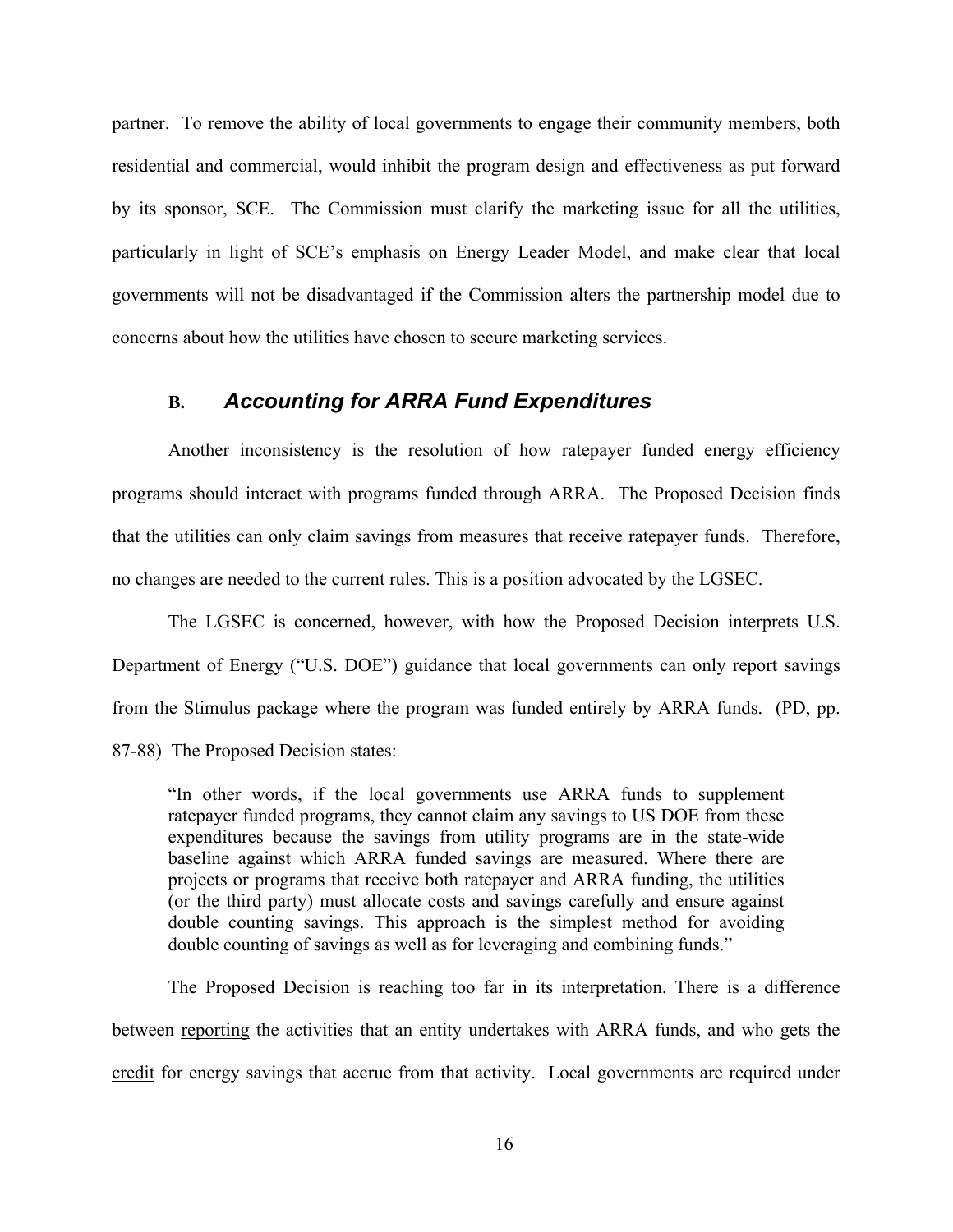partner. To remove the ability of local governments to engage their community members, both residential and commercial, would inhibit the program design and effectiveness as put forward by its sponsor, SCE. The Commission must clarify the marketing issue for all the utilities, particularly in light of SCE's emphasis on Energy Leader Model, and make clear that local governments will not be disadvantaged if the Commission alters the partnership model due to concerns about how the utilities have chosen to secure marketing services.

#### **B.** *Accounting for ARRA Fund Expenditures*

Another inconsistency is the resolution of how ratepayer funded energy efficiency programs should interact with programs funded through ARRA. The Proposed Decision finds that the utilities can only claim savings from measures that receive ratepayer funds. Therefore, no changes are needed to the current rules. This is a position advocated by the LGSEC.

The LGSEC is concerned, however, with how the Proposed Decision interprets U.S. Department of Energy ("U.S. DOE") guidance that local governments can only report savings from the Stimulus package where the program was funded entirely by ARRA funds. (PD, pp. 87-88) The Proposed Decision states:

"In other words, if the local governments use ARRA funds to supplement ratepayer funded programs, they cannot claim any savings to US DOE from these expenditures because the savings from utility programs are in the state-wide baseline against which ARRA funded savings are measured. Where there are projects or programs that receive both ratepayer and ARRA funding, the utilities (or the third party) must allocate costs and savings carefully and ensure against double counting savings. This approach is the simplest method for avoiding double counting of savings as well as for leveraging and combining funds."

 The Proposed Decision is reaching too far in its interpretation. There is a difference between reporting the activities that an entity undertakes with ARRA funds, and who gets the credit for energy savings that accrue from that activity. Local governments are required under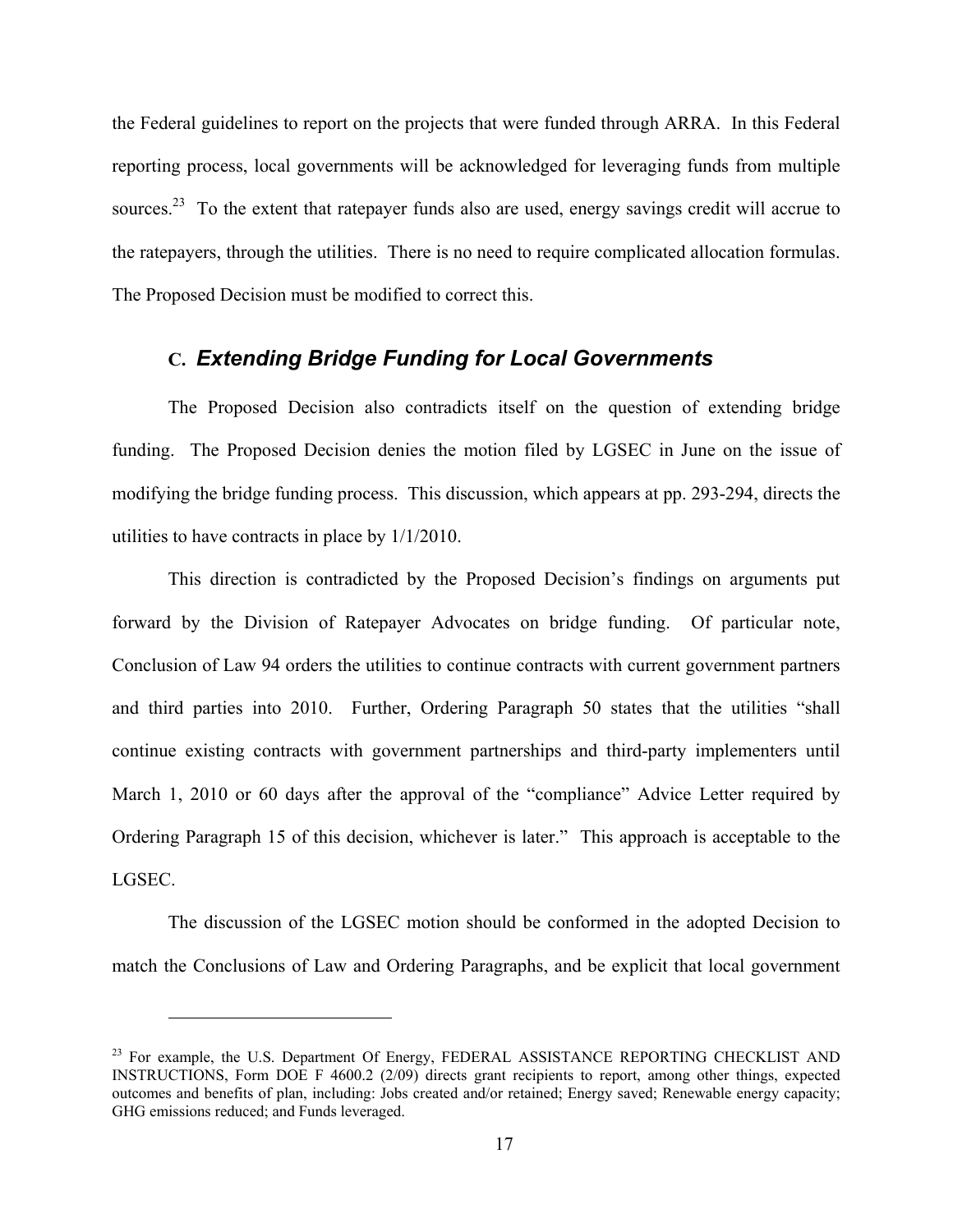the Federal guidelines to report on the projects that were funded through ARRA. In this Federal reporting process, local governments will be acknowledged for leveraging funds from multiple sources.<sup>23</sup> To the extent that ratepayer funds also are used, energy savings credit will accrue to the ratepayers, through the utilities. There is no need to require complicated allocation formulas. The Proposed Decision must be modified to correct this.

### **C.** *Extending Bridge Funding for Local Governments*

The Proposed Decision also contradicts itself on the question of extending bridge funding. The Proposed Decision denies the motion filed by LGSEC in June on the issue of modifying the bridge funding process. This discussion, which appears at pp. 293-294, directs the utilities to have contracts in place by 1/1/2010.

This direction is contradicted by the Proposed Decision's findings on arguments put forward by the Division of Ratepayer Advocates on bridge funding. Of particular note, Conclusion of Law 94 orders the utilities to continue contracts with current government partners and third parties into 2010. Further, Ordering Paragraph 50 states that the utilities "shall continue existing contracts with government partnerships and third-party implementers until March 1, 2010 or 60 days after the approval of the "compliance" Advice Letter required by Ordering Paragraph 15 of this decision, whichever is later." This approach is acceptable to the LGSEC.

The discussion of the LGSEC motion should be conformed in the adopted Decision to match the Conclusions of Law and Ordering Paragraphs, and be explicit that local government

<sup>&</sup>lt;sup>23</sup> For example, the U.S. Department Of Energy, FEDERAL ASSISTANCE REPORTING CHECKLIST AND INSTRUCTIONS, Form DOE F 4600.2 (2/09) directs grant recipients to report, among other things, expected outcomes and benefits of plan, including: Jobs created and/or retained; Energy saved; Renewable energy capacity; GHG emissions reduced; and Funds leveraged.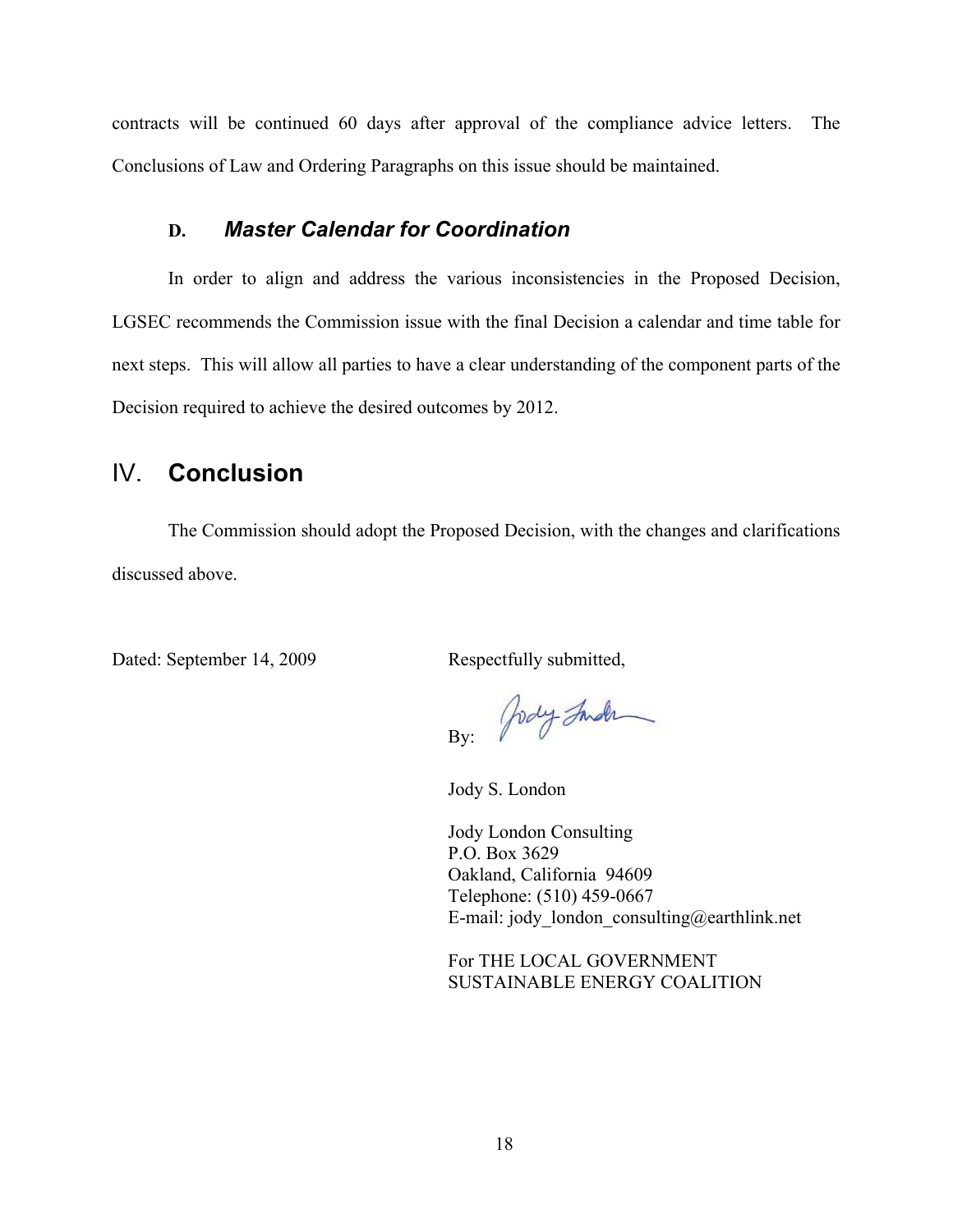contracts will be continued 60 days after approval of the compliance advice letters. The Conclusions of Law and Ordering Paragraphs on this issue should be maintained.

#### **D.** *Master Calendar for Coordination*

 In order to align and address the various inconsistencies in the Proposed Decision, LGSEC recommends the Commission issue with the final Decision a calendar and time table for next steps. This will allow all parties to have a clear understanding of the component parts of the Decision required to achieve the desired outcomes by 2012.

## IV. **Conclusion**

The Commission should adopt the Proposed Decision, with the changes and clarifications discussed above.

Dated: September 14, 2009 Respectfully submitted,

By: Jody Inde

Jody S. London

Jody London Consulting P.O. Box 3629 Oakland, California 94609 Telephone: (510) 459-0667 E-mail: jody london consulting@earthlink.net

For THE LOCAL GOVERNMENT SUSTAINABLE ENERGY COALITION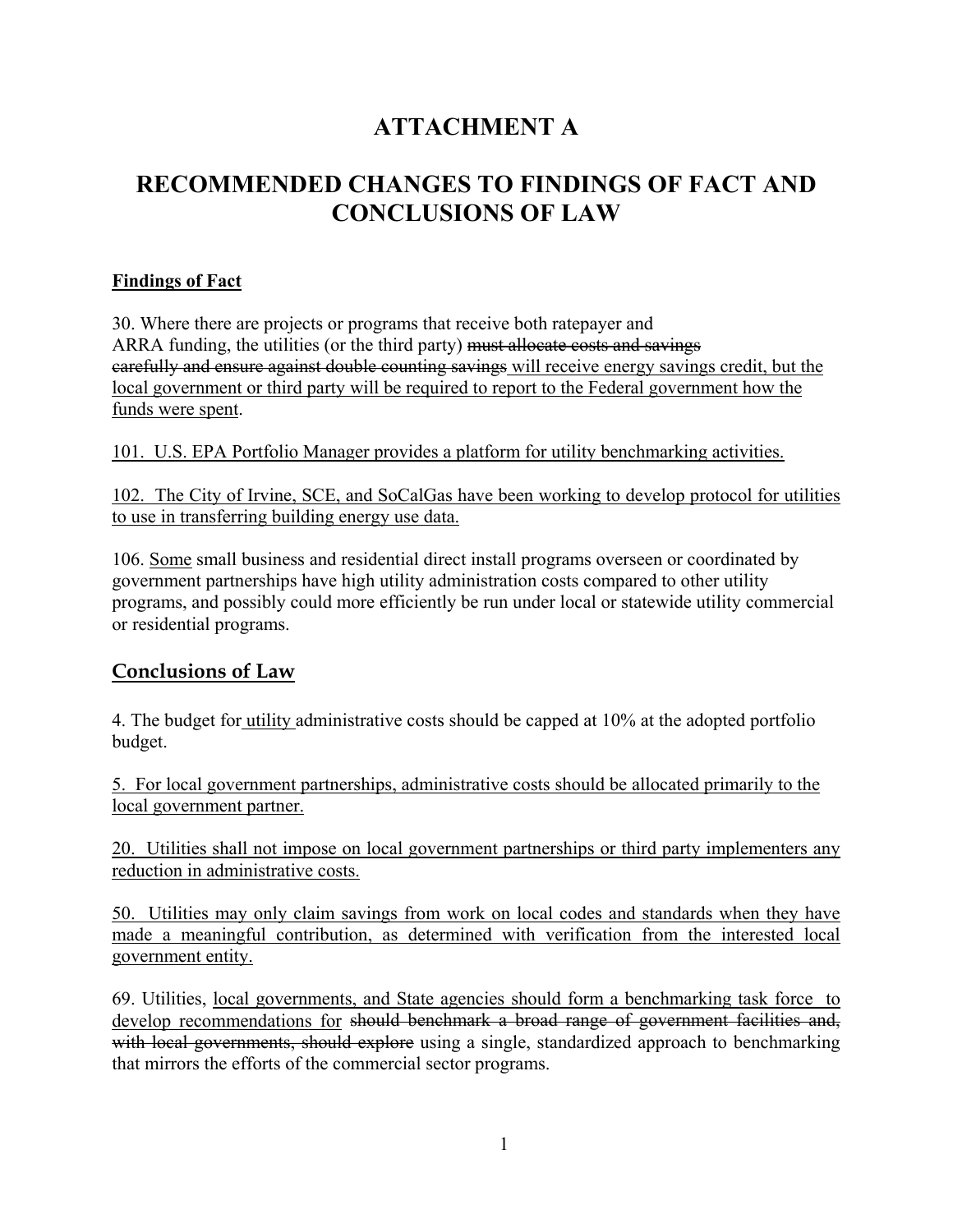## **ATTACHMENT A**

## **RECOMMENDED CHANGES TO FINDINGS OF FACT AND CONCLUSIONS OF LAW**

### **Findings of Fact**

30. Where there are projects or programs that receive both ratepayer and ARRA funding, the utilities (or the third party) must allocate costs and savings carefully and ensure against double counting savings will receive energy savings credit, but the local government or third party will be required to report to the Federal government how the funds were spent.

101. U.S. EPA Portfolio Manager provides a platform for utility benchmarking activities.

102. The City of Irvine, SCE, and SoCalGas have been working to develop protocol for utilities to use in transferring building energy use data.

106. Some small business and residential direct install programs overseen or coordinated by government partnerships have high utility administration costs compared to other utility programs, and possibly could more efficiently be run under local or statewide utility commercial or residential programs.

### **Conclusions of Law**

4. The budget for utility administrative costs should be capped at 10% at the adopted portfolio budget.

5. For local government partnerships, administrative costs should be allocated primarily to the local government partner.

20. Utilities shall not impose on local government partnerships or third party implementers any reduction in administrative costs.

50. Utilities may only claim savings from work on local codes and standards when they have made a meaningful contribution, as determined with verification from the interested local government entity.

69. Utilities, local governments, and State agencies should form a benchmarking task force to develop recommendations for should benchmark a broad range of government facilities and, with local governments, should explore using a single, standardized approach to benchmarking that mirrors the efforts of the commercial sector programs.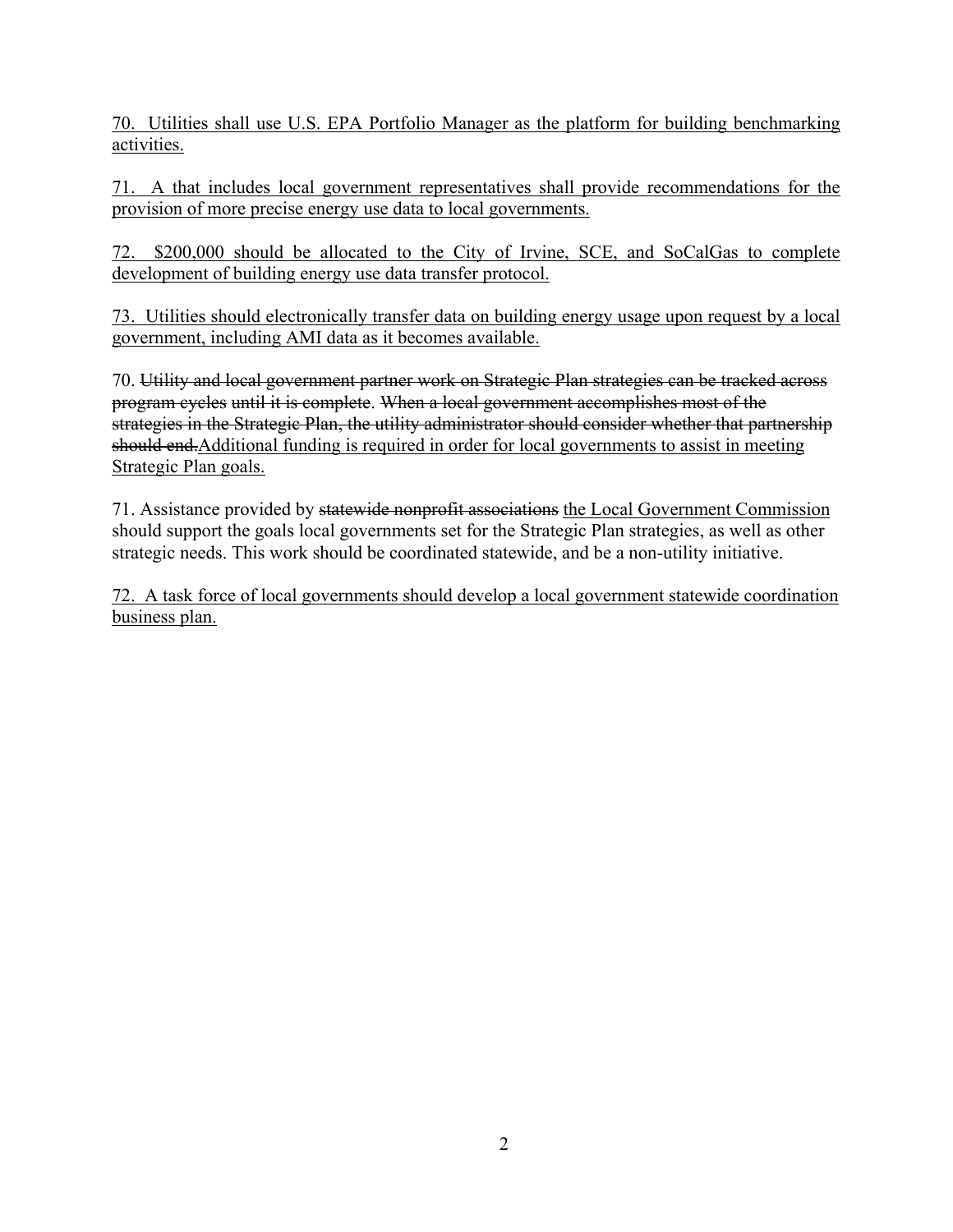70. Utilities shall use U.S. EPA Portfolio Manager as the platform for building benchmarking activities.

71. A that includes local government representatives shall provide recommendations for the provision of more precise energy use data to local governments.

72. \$200,000 should be allocated to the City of Irvine, SCE, and SoCalGas to complete development of building energy use data transfer protocol.

73. Utilities should electronically transfer data on building energy usage upon request by a local government, including AMI data as it becomes available.

70. Utility and local government partner work on Strategic Plan strategies can be tracked across program cycles until it is complete. When a local government accomplishes most of the strategies in the Strategic Plan, the utility administrator should consider whether that partnership should end. Additional funding is required in order for local governments to assist in meeting Strategic Plan goals.

71. Assistance provided by statewide nonprofit associations the Local Government Commission should support the goals local governments set for the Strategic Plan strategies, as well as other strategic needs. This work should be coordinated statewide, and be a non-utility initiative.

72. A task force of local governments should develop a local government statewide coordination business plan.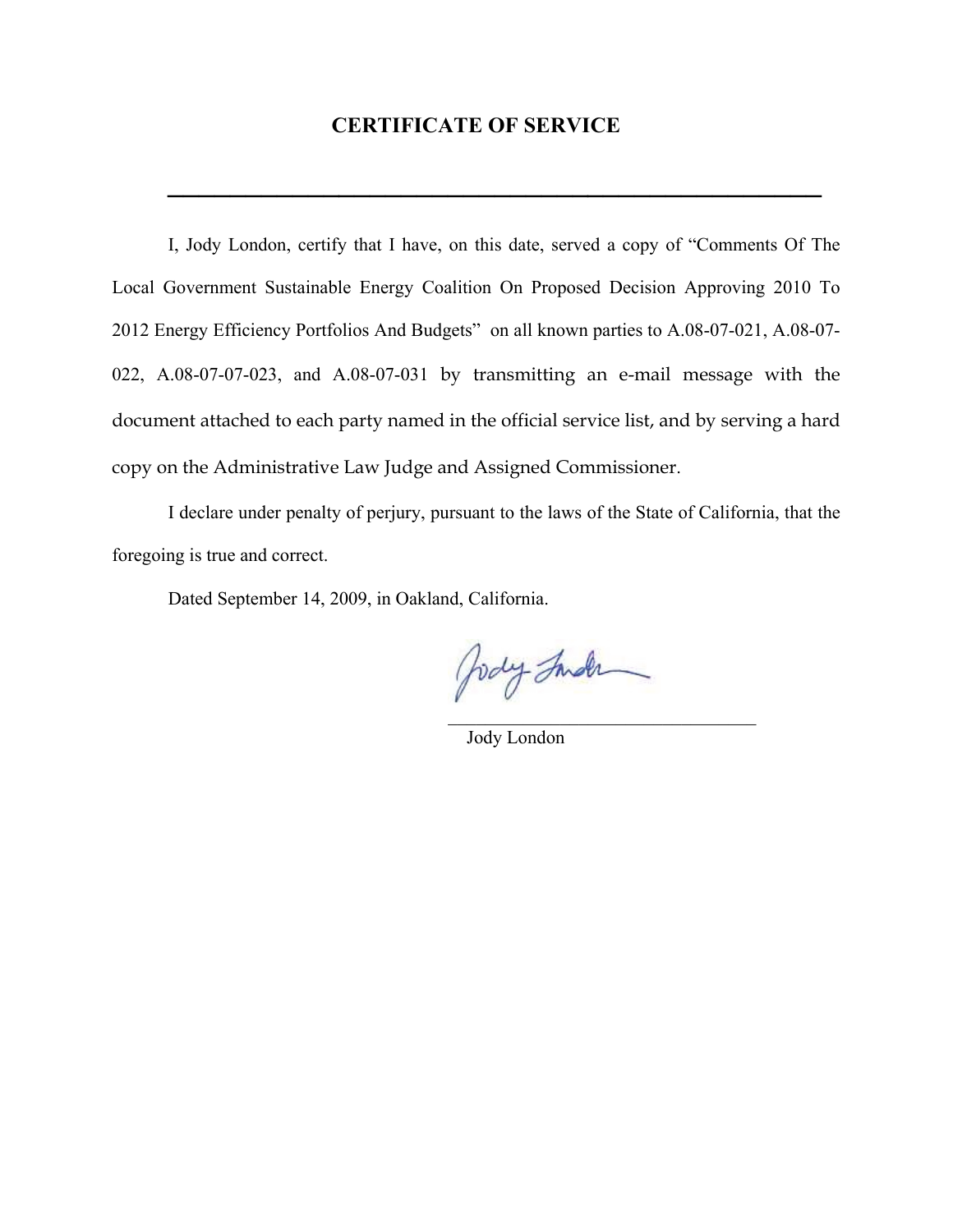#### **CERTIFICATE OF SERVICE**

**\_\_\_\_\_\_\_\_\_\_\_\_\_\_\_\_\_\_\_\_\_\_\_\_\_\_\_\_\_\_\_\_\_\_\_\_\_\_\_\_\_\_**

I, Jody London, certify that I have, on this date, served a copy of "Comments Of The Local Government Sustainable Energy Coalition On Proposed Decision Approving 2010 To 2012 Energy Efficiency Portfolios And Budgets" on all known parties to A.08-07-021, A.08-07- 022, A.08-07-07-023, and A.08-07-031 by transmitting an e-mail message with the document attached to each party named in the official service list, and by serving a hard copy on the Administrative Law Judge and Assigned Commissioner.

I declare under penalty of perjury, pursuant to the laws of the State of California, that the foregoing is true and correct.

 $\mathcal{L}_\text{max}$  and  $\mathcal{L}_\text{max}$  and  $\mathcal{L}_\text{max}$  are the contract of the contract of the contract of the contract of the contract of the contract of the contract of the contract of the contract of the contract of the con

Dated September 14, 2009, in Oakland, California.

Jody Inder

Jody London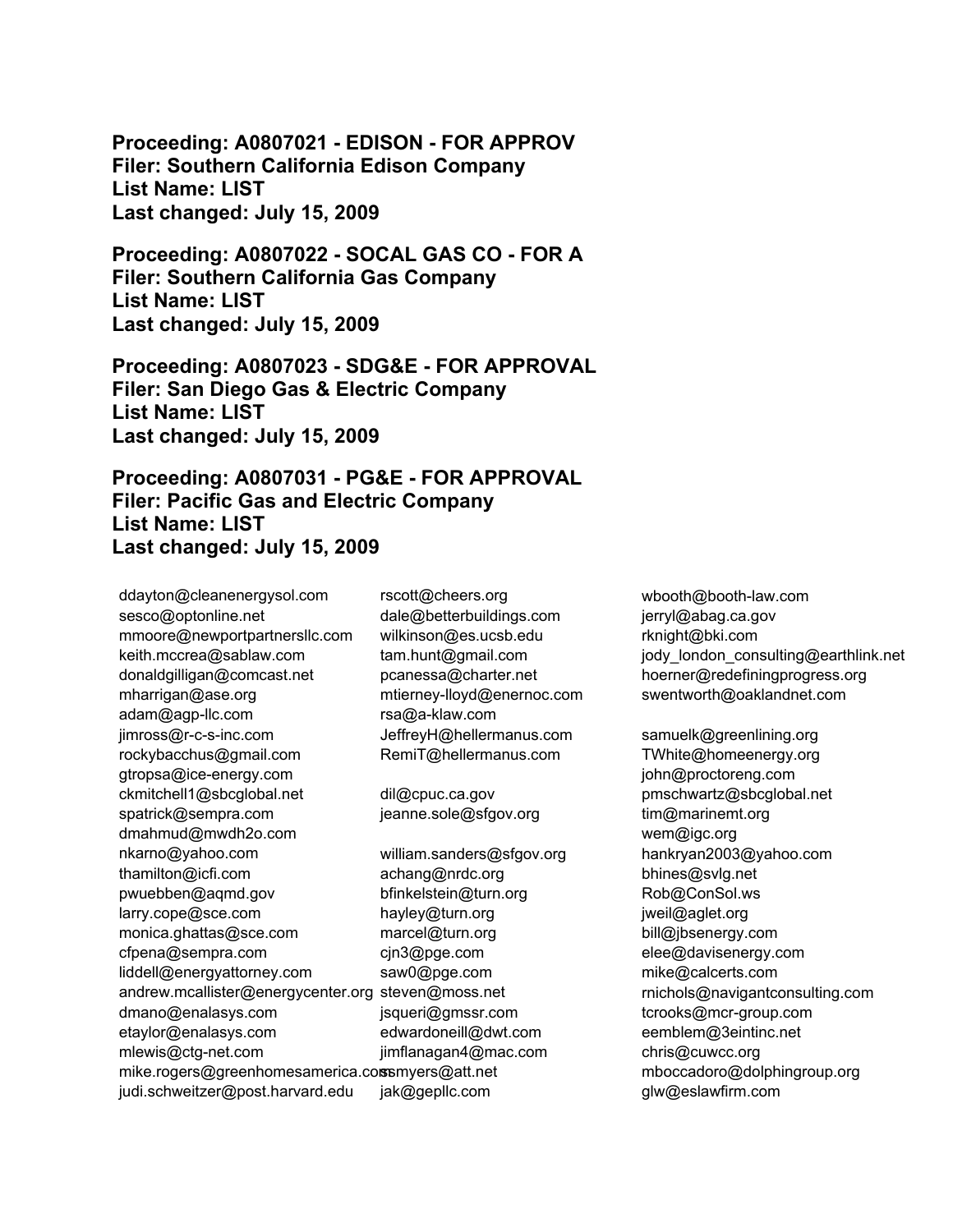**Proceeding: A0807021 - EDISON - FOR APPROV Filer: Southern California Edison Company List Name: LIST Last changed: July 15, 2009** 

**Proceeding: A0807022 - SOCAL GAS CO - FOR A Filer: Southern California Gas Company List Name: LIST Last changed: July 15, 2009** 

**Proceeding: A0807023 - SDG&E - FOR APPROVAL Filer: San Diego Gas & Electric Company List Name: LIST Last changed: July 15, 2009** 

**Proceeding: A0807031 - PG&E - FOR APPROVAL Filer: Pacific Gas and Electric Company List Name: LIST Last changed: July 15, 2009** 

ddayton@cleanenergysol.com sesco@optonline.net mmoore@newportpartnersllc.com keith.mccrea@sablaw.com donaldgilligan@comcast.net mharrigan@ase.org adam@agp-llc.com jimross@r-c-s-inc.com rockybacchus@gmail.com gtropsa@ice-energy.com ckmitchell1@sbcglobal.net spatrick@sempra.com dmahmud@mwdh2o.com nkarno@yahoo.com thamilton@icfi.com pwuebben@aqmd.gov larry.cope@sce.com monica.ghattas@sce.com cfpena@sempra.com liddell@energyattorney.com andrew.mcallister@energycenter.org steven@moss.net dmano@enalasys.com etaylor@enalasys.com mlewis@ctg-net.com mike.rogers@greenhomesamerica.comsmyers@att.net judi.schweitzer@post.harvard.edu rscott@cheers.org

dale@betterbuildings.com wilkinson@es.ucsb.edu tam.hunt@gmail.com pcanessa@charter.net mtierney-lloyd@enernoc.com rsa@a-klaw.com JeffreyH@hellermanus.com RemiT@hellermanus.com

dil@cpuc.ca.gov jeanne.sole@sfgov.org

william.sanders@sfgov.org achang@nrdc.org bfinkelstein@turn.org hayley@turn.org marcel@turn.org cjn3@pge.com saw0@pge.com jsqueri@gmssr.com edwardoneill@dwt.com jimflanagan4@mac.com jak@gepllc.com

wbooth@booth-law.com jerryl@abag.ca.gov rknight@bki.com jody\_london\_consulting@earthlink.net hoerner@redefiningprogress.org swentworth@oaklandnet.com

samuelk@greenlining.org TWhite@homeenergy.org john@proctoreng.com pmschwartz@sbcglobal.net tim@marinemt.org wem@igc.org hankryan2003@yahoo.com bhines@svlg.net Rob@ConSol.ws jweil@aglet.org bill@jbsenergy.com elee@davisenergy.com mike@calcerts.com rnichols@navigantconsulting.com tcrooks@mcr-group.com eemblem@3eintinc.net chris@cuwcc.org mboccadoro@dolphingroup.org glw@eslawfirm.com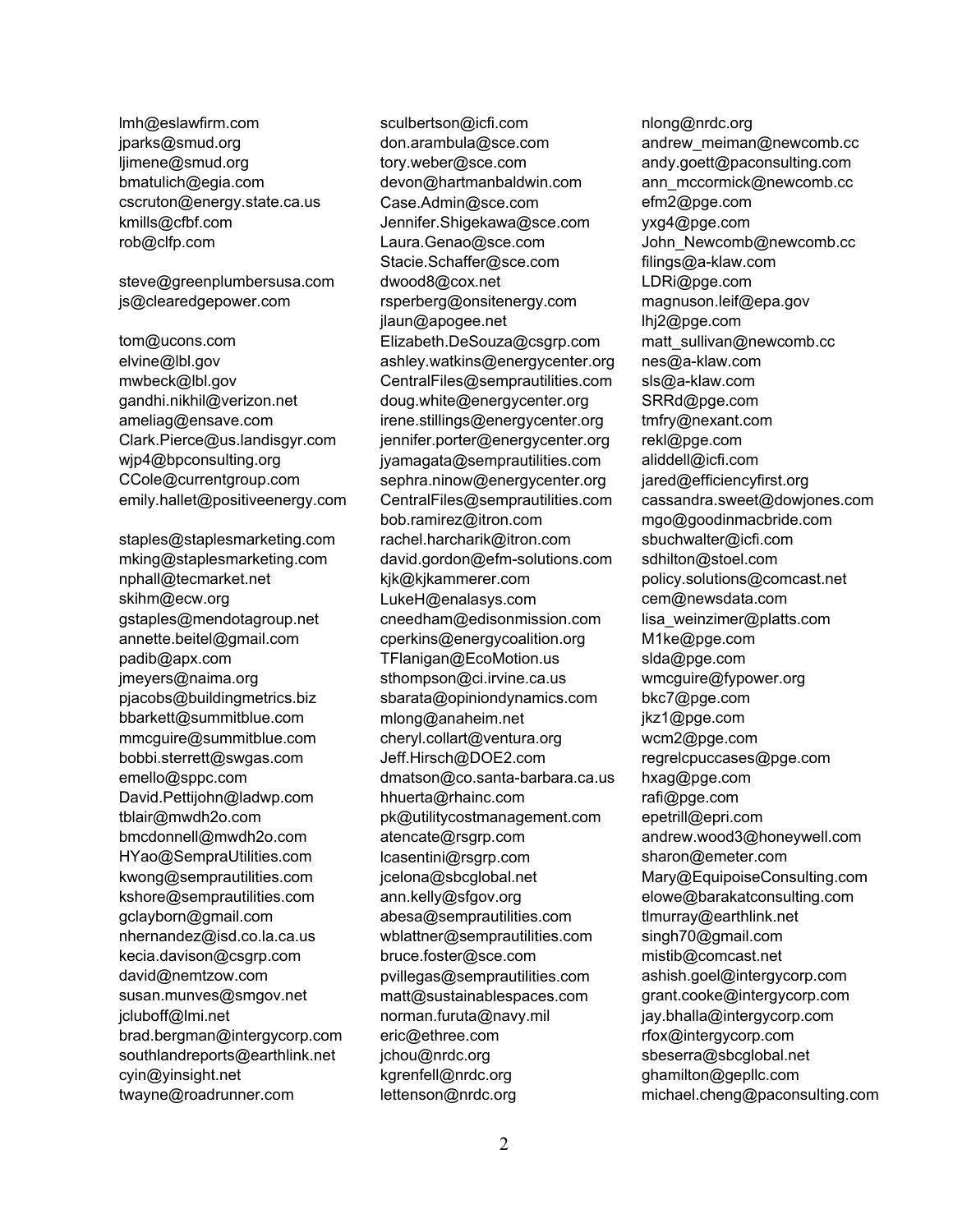lmh@eslawfirm.com jparks@smud.org ljimene@smud.org bmatulich@egia.com cscruton@energy.state.ca.us kmills@cfbf.com rob@clfp.com

steve@greenplumbersusa.com js@clearedgepower.com

tom@ucons.com elvine@lbl.gov mwbeck@lbl.gov gandhi.nikhil@verizon.net ameliag@ensave.com Clark.Pierce@us.landisgyr.com wjp4@bpconsulting.org CCole@currentgroup.com emily.hallet@positiveenergy.com

staples@staplesmarketing.com mking@staplesmarketing.com nphall@tecmarket.net skihm@ecw.org gstaples@mendotagroup.net annette.beitel@gmail.com padib@apx.com jmeyers@naima.org pjacobs@buildingmetrics.biz bbarkett@summitblue.com mmcguire@summitblue.com bobbi.sterrett@swgas.com emello@sppc.com David.Pettijohn@ladwp.com tblair@mwdh2o.com bmcdonnell@mwdh2o.com HYao@SempraUtilities.com kwong@semprautilities.com kshore@semprautilities.com gclayborn@gmail.com nhernandez@isd.co.la.ca.us kecia.davison@csgrp.com david@nemtzow.com susan.munves@smgov.net jcluboff@lmi.net brad.bergman@intergycorp.com southlandreports@earthlink.net cyin@yinsight.net twayne@roadrunner.com

sculbertson@icfi.com don.arambula@sce.com tory.weber@sce.com devon@hartmanbaldwin.com Case.Admin@sce.com Jennifer.Shigekawa@sce.com Laura.Genao@sce.com Stacie.Schaffer@sce.com dwood8@cox.net rsperberg@onsitenergy.com jlaun@apogee.net Elizabeth.DeSouza@csgrp.com ashley.watkins@energycenter.org CentralFiles@semprautilities.com doug.white@energycenter.org irene.stillings@energycenter.org jennifer.porter@energycenter.org jyamagata@semprautilities.com sephra.ninow@energycenter.org CentralFiles@semprautilities.com bob.ramirez@itron.com rachel.harcharik@itron.com david.gordon@efm-solutions.com kjk@kjkammerer.com LukeH@enalasys.com cneedham@edisonmission.com cperkins@energycoalition.org TFlanigan@EcoMotion.us sthompson@ci.irvine.ca.us sbarata@opiniondynamics.com mlong@anaheim.net cheryl.collart@ventura.org Jeff.Hirsch@DOE2.com dmatson@co.santa-barbara.ca.us hhuerta@rhainc.com pk@utilitycostmanagement.com atencate@rsgrp.com lcasentini@rsgrp.com jcelona@sbcglobal.net ann.kelly@sfgov.org abesa@semprautilities.com wblattner@semprautilities.com bruce.foster@sce.com pvillegas@semprautilities.com matt@sustainablespaces.com norman.furuta@navy.mil eric@ethree.com jchou@nrdc.org kgrenfell@nrdc.org lettenson@nrdc.org

nlong@nrdc.org andrew\_meiman@newcomb.cc andy.goett@paconsulting.com ann\_mccormick@newcomb.cc efm2@pge.com yxg4@pge.com John\_Newcomb@newcomb.cc filings@a-klaw.com LDRi@pge.com magnuson.leif@epa.gov lhj2@pge.com matt\_sullivan@newcomb.cc nes@a-klaw.com sls@a-klaw.com SRRd@pge.com tmfry@nexant.com rekl@pge.com aliddell@icfi.com jared@efficiencyfirst.org cassandra.sweet@dowjones.com mgo@goodinmacbride.com sbuchwalter@icfi.com sdhilton@stoel.com policy.solutions@comcast.net cem@newsdata.com lisa\_weinzimer@platts.com M1ke@pge.com slda@pge.com wmcguire@fypower.org bkc7@pge.com jkz1@pge.com wcm2@pge.com regrelcpuccases@pge.com hxag@pge.com rafi@pge.com epetrill@epri.com andrew.wood3@honeywell.com sharon@emeter.com Mary@EquipoiseConsulting.com elowe@barakatconsulting.com tlmurray@earthlink.net singh70@gmail.com mistib@comcast.net ashish.goel@intergycorp.com grant.cooke@intergycorp.com jay.bhalla@intergycorp.com rfox@intergycorp.com sbeserra@sbcglobal.net ghamilton@gepllc.com michael.cheng@paconsulting.com